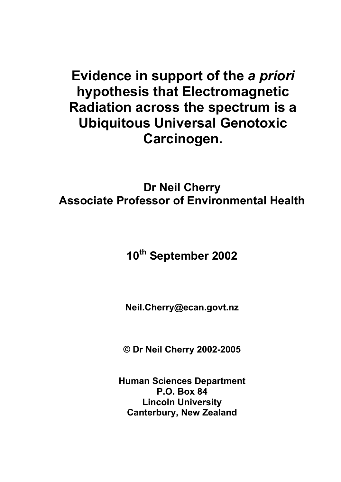# **Evidence in support of the** *a priori* **hypothesis that Electromagnetic Radiation across the spectrum is a Ubiquitous Universal Genotoxic Carcinogen.**

**Dr Neil Cherry Associate Professor of Environmental Health** 

**10th September 2002** 

**Neil.Cherry@ecan.govt.nz** 

**© Dr Neil Cherry 2002-2005** 

**Human Sciences Department P.O. Box 84 Lincoln University Canterbury, New Zealand**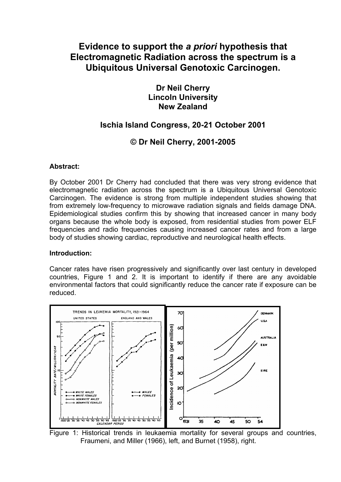## **Evidence to support the** *a priori* **hypothesis that Electromagnetic Radiation across the spectrum is a Ubiquitous Universal Genotoxic Carcinogen.**

**Dr Neil Cherry Lincoln University New Zealand** 

### **Ischia Island Congress, 20-21 October 2001**

### **© Dr Neil Cherry, 2001-2005**

#### **Abstract:**

By October 2001 Dr Cherry had concluded that there was very strong evidence that electromagnetic radiation across the spectrum is a Ubiquitous Universal Genotoxic Carcinogen. The evidence is strong from multiple independent studies showing that from extremely low-frequency to microwave radiation signals and fields damage DNA. Epidemiological studies confirm this by showing that increased cancer in many body organs because the whole body is exposed, from residential studies from power ELF frequencies and radio frequencies causing increased cancer rates and from a large body of studies showing cardiac, reproductive and neurological health effects.

#### **Introduction:**

Cancer rates have risen progressively and significantly over last century in developed countries, Figure 1 and 2. It is important to identify if there are any avoidable environmental factors that could significantly reduce the cancer rate if exposure can be reduced.



Figure 1: Historical trends in leukaemia mortality for several groups and countries, Fraumeni, and Miller (1966), left, and Burnet (1958), right.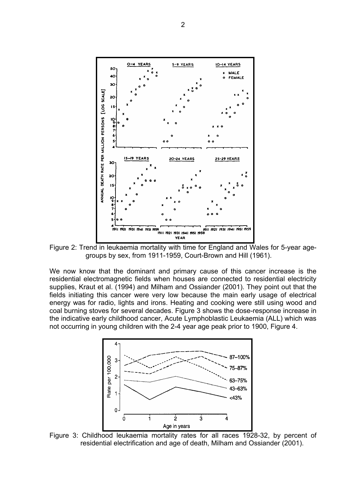

Figure 2: Trend in leukaemia mortality with time for England and Wales for 5-year agegroups by sex, from 1911-1959, Court-Brown and Hill (1961).

We now know that the dominant and primary cause of this cancer increase is the residential electromagnetic fields when houses are connected to residential electricity supplies, Kraut et al. (1994) and Milham and Ossiander (2001). They point out that the fields initiating this cancer were very low because the main early usage of electrical energy was for radio, lights and irons. Heating and cooking were still using wood and coal burning stoves for several decades. Figure 3 shows the dose-response increase in the indicative early childhood cancer, Acute Lymphoblastic Leukaemia (ALL) which was not occurring in young children with the 2-4 year age peak prior to 1900, Figure 4.



Figure 3: Childhood leukaemia mortality rates for all races 1928-32, by percent of residential electrification and age of death, Milham and Ossiander (2001).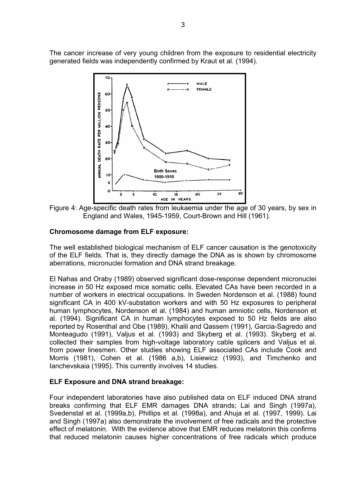The cancer increase of very young children from the exposure to residential electricity generated fields was independently confirmed by Kraut et al. (1994).



Figure 4: Age-specific death rates from leukaemia under the age of 30 years, by sex in England and Wales, 1945-1959, Court-Brown and Hill (1961).

#### **Chromosome damage from ELF exposure:**

The well established biological mechanism of ELF cancer causation is the genotoxicity of the ELF fields. That is, they directly damage the DNA as is shown by chromosome aberrations, micronuclei formation and DNA strand breakage.

El Nahas and Oraby (1989) observed significant dose-response dependent micronuclei increase in 50 Hz exposed mice somatic cells. Elevated CAs have been recorded in a number of workers in electrical occupations. In Sweden Nordenson et al. (1988) found significant CA in 400 kV-substation workers and with 50 Hz exposures to peripheral human lymphocytes, Nordenson et al. (1984) and human amniotic cells, Nordenson et al. (1994). Significant CA in human lymphocytes exposed to 50 Hz fields are also reported by Rosenthal and Obe (1989), Khalil and Qassem (1991), Garcia-Sagredo and Monteagudo (1991), Valjus et al. (1993) and Skyberg et al. (1993). Skyberg et al. collected their samples from high-voltage laboratory cable splicers and Valjus et al. from power linesmen. Other studies showing ELF associated CAs include Cook and Morris (1981), Cohen et al. (1986 a,b), Lisiewicz (1993), and Timchenko and Ianchevskaia (1995). This currently involves 14 studies.

#### **ELF Exposure and DNA strand breakage:**

Four independent laboratories have also published data on ELF induced DNA strand breaks confirming that ELF EMR damages DNA strands; Lai and Singh (1997a), Svedenstal et al. (1999a,b), Phillips et al. (1998a), and Ahuja et al. (1997, 1999). Lai and Singh (1997a) also demonstrate the involvement of free radicals and the protective effect of melatonin. With the evidence above that EMR reduces melatonin this confirms that reduced melatonin causes higher concentrations of free radicals which produce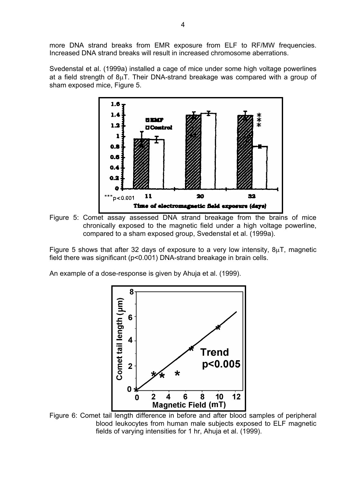more DNA strand breaks from EMR exposure from ELF to RF/MW frequencies. Increased DNA strand breaks will result in increased chromosome aberrations.

Svedenstal et al. (1999a) installed a cage of mice under some high voltage powerlines at a field strength of  $8\mu$ T. Their DNA-strand breakage was compared with a group of sham exposed mice, Figure 5.



Figure 5: Comet assay assessed DNA strand breakage from the brains of mice chronically exposed to the magnetic field under a high voltage powerline, compared to a sham exposed group, Svedenstal et al. (1999a).

Figure 5 shows that after 32 days of exposure to a very low intensity, 8µT, magnetic field there was significant (p<0.001) DNA-strand breakage in brain cells.

An example of a dose-response is given by Ahuja et al. (1999).



Figure 6: Comet tail length difference in before and after blood samples of peripheral blood leukocytes from human male subjects exposed to ELF magnetic fields of varying intensities for 1 hr, Ahuja et al. (1999).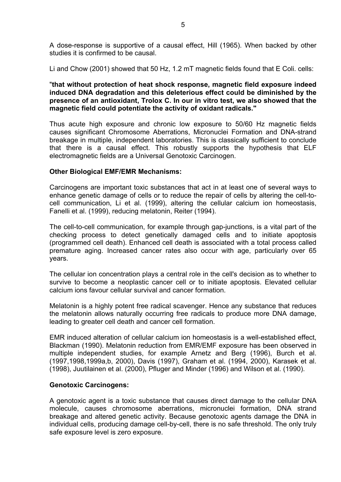A dose-response is supportive of a causal effect, Hill (1965). When backed by other studies it is confirmed to be causal.

Li and Chow (2001) showed that 50 Hz, 1.2 mT magnetic fields found that E Coli. cells:

#### "**that without protection of heat shock response, magnetic field exposure indeed induced DNA degradation and this deleterious effect could be diminished by the presence of an antioxidant, Trolox C. In our in vitro test, we also showed that the magnetic field could potentiate the activity of oxidant radicals."**

Thus acute high exposure and chronic low exposure to 50/60 Hz magnetic fields causes significant Chromosome Aberrations, Micronuclei Formation and DNA-strand breakage in multiple, independent laboratories. This is classically sufficient to conclude that there is a causal effect. This robustly supports the hypothesis that ELF electromagnetic fields are a Universal Genotoxic Carcinogen.

#### **Other Biological EMF/EMR Mechanisms:**

Carcinogens are important toxic substances that act in at least one of several ways to enhance genetic damage of cells or to reduce the repair of cells by altering the cell-tocell communication, Li et al. (1999), altering the cellular calcium ion homeostasis, Fanelli et al. (1999), reducing melatonin, Reiter (1994).

The cell-to-cell communication, for example through gap-junctions, is a vital part of the checking process to detect genetically damaged cells and to initiate apoptosis (programmed cell death). Enhanced cell death is associated with a total process called premature aging. Increased cancer rates also occur with age, particularly over 65 years.

The cellular ion concentration plays a central role in the cell's decision as to whether to survive to become a neoplastic cancer cell or to initiate apoptosis. Elevated cellular calcium ions favour cellular survival and cancer formation.

Melatonin is a highly potent free radical scavenger. Hence any substance that reduces the melatonin allows naturally occurring free radicals to produce more DNA damage, leading to greater cell death and cancer cell formation.

EMR induced alteration of cellular calcium ion homeostasis is a well-established effect, Blackman (1990). Melatonin reduction from EMR/EMF exposure has been observed in multiple independent studies, for example Arnetz and Berg (1996), Burch et al. (1997,1998,1999a,b, 2000), Davis (1997), Graham et al. (1994, 2000), Karasek et al. (1998), Juutilainen et al. (2000), Pfluger and Minder (1996) and Wilson et al. (1990).

#### **Genotoxic Carcinogens:**

A genotoxic agent is a toxic substance that causes direct damage to the cellular DNA molecule, causes chromosome aberrations, micronuclei formation, DNA strand breakage and altered genetic activity. Because genotoxic agents damage the DNA in individual cells, producing damage cell-by-cell, there is no safe threshold. The only truly safe exposure level is zero exposure.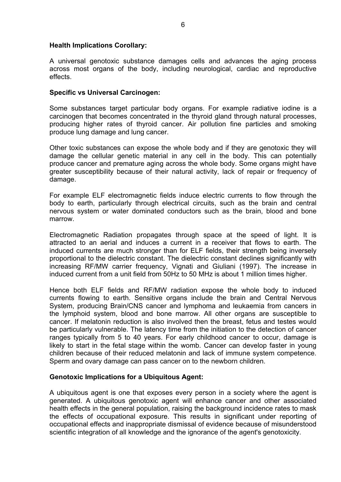#### **Health Implications Corollary:**

A universal genotoxic substance damages cells and advances the aging process across most organs of the body, including neurological, cardiac and reproductive effects.

#### **Specific vs Universal Carcinogen:**

Some substances target particular body organs. For example radiative iodine is a carcinogen that becomes concentrated in the thyroid gland through natural processes, producing higher rates of thyroid cancer. Air pollution fine particles and smoking produce lung damage and lung cancer.

Other toxic substances can expose the whole body and if they are genotoxic they will damage the cellular genetic material in any cell in the body. This can potentially produce cancer and premature aging across the whole body. Some organs might have greater susceptibility because of their natural activity, lack of repair or frequency of damage.

For example ELF electromagnetic fields induce electric currents to flow through the body to earth, particularly through electrical circuits, such as the brain and central nervous system or water dominated conductors such as the brain, blood and bone marrow.

Electromagnetic Radiation propagates through space at the speed of light. It is attracted to an aerial and induces a current in a receiver that flows to earth. The induced currents are much stronger than for ELF fields, their strength being inversely proportional to the dielectric constant. The dielectric constant declines significantly with increasing RF/MW carrier frequency, Vignati and Giuliani (1997). The increase in induced current from a unit field from 50Hz to 50 MHz is about 1 million times higher.

Hence both ELF fields and RF/MW radiation expose the whole body to induced currents flowing to earth. Sensitive organs include the brain and Central Nervous System, producing Brain/CNS cancer and lymphoma and leukaemia from cancers in the lymphoid system, blood and bone marrow. All other organs are susceptible to cancer. If melatonin reduction is also involved then the breast, fetus and testes would be particularly vulnerable. The latency time from the initiation to the detection of cancer ranges typically from 5 to 40 years. For early childhood cancer to occur, damage is likely to start in the fetal stage within the womb. Cancer can develop faster in young children because of their reduced melatonin and lack of immune system competence. Sperm and ovary damage can pass cancer on to the newborn children.

#### **Genotoxic Implications for a Ubiquitous Agent:**

A ubiquitous agent is one that exposes every person in a society where the agent is generated. A ubiquitous genotoxic agent will enhance cancer and other associated health effects in the general population, raising the background incidence rates to mask the effects of occupational exposure. This results in significant under reporting of occupational effects and inappropriate dismissal of evidence because of misunderstood scientific integration of all knowledge and the ignorance of the agent's genotoxicity.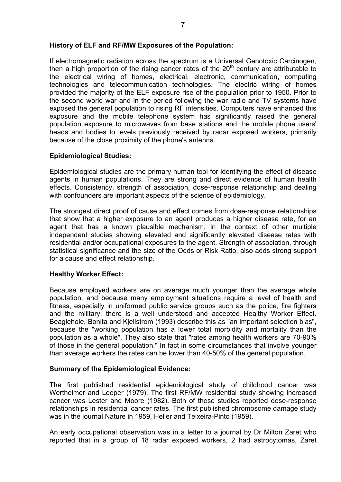#### **History of ELF and RF/MW Exposures of the Population:**

If electromagnetic radiation across the spectrum is a Universal Genotoxic Carcinogen, then a high proportion of the rising cancer rates of the  $20<sup>th</sup>$  century are attributable to the electrical wiring of homes, electrical, electronic, communication, computing technologies and telecommunication technologies. The electric wiring of homes provided the majority of the ELF exposure rise of the population prior to 1950. Prior to the second world war and in the period following the war radio and TV systems have exposed the general population to rising RF intensities. Computers have enhanced this exposure and the mobile telephone system has significantly raised the general population exposure to microwaves from base stations and the mobile phone users' heads and bodies to levels previously received by radar exposed workers, primarily because of the close proximity of the phone's antenna.

#### **Epidemiological Studies:**

Epidemiological studies are the primary human tool for identifying the effect of disease agents in human populations. They are strong and direct evidence of human health effects. Consistency, strength of association, dose-response relationship and dealing with confounders are important aspects of the science of epidemiology.

The strongest direct proof of cause and effect comes from dose-response relationships that show that a higher exposure to an agent produces a higher disease rate, for an agent that has a known plausible mechanism, in the context of other multiple independent studies showing elevated and significantly elevated disease rates with residential and/or occupational exposures to the agent. Strength of association, through statistical significance and the size of the Odds or Risk Ratio, also adds strong support for a cause and effect relationship.

#### **Healthy Worker Effect:**

Because employed workers are on average much younger than the average whole population, and because many employment situations require a level of health and fitness, especially in uniformed public service groups such as the police, fire fighters and the military, there is a well understood and accepted Healthy Worker Effect. Beaglehole, Bonita and Kjellstrom (1993) describe this as "an important selection bias", because the "working population has a lower total morbidity and mortality than the population as a whole". They also state that "rates among health workers are 70-90% of those in the general population." In fact in some circumstances that involve younger than average workers the rates can be lower than 40-50% of the general population.

#### **Summary of the Epidemiological Evidence:**

The first published residential epidemiological study of childhood cancer was Wertheimer and Leeper (1979). The first RF/MW residential study showing increased cancer was Lester and Moore (1982). Both of these studies reported dose-response relationships in residential cancer rates. The first published chromosome damage study was in the journal Nature in 1959, Heller and Teixeira-Pinto (1959).

An early occupational observation was in a letter to a journal by Dr Milton Zaret who reported that in a group of 18 radar exposed workers, 2 had astrocytomas, Zaret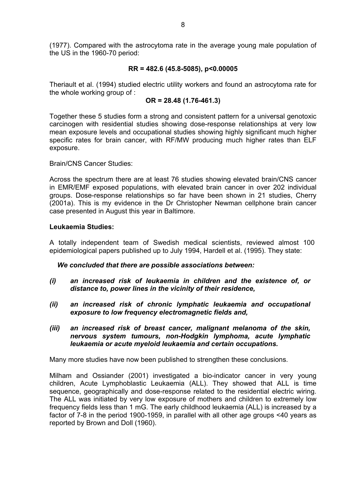(1977). Compared with the astrocytoma rate in the average young male population of the US in the 1960-70 period:

#### **RR = 482.6 (45.8-5085), p<0.00005**

Theriault et al. (1994) studied electric utility workers and found an astrocytoma rate for the whole working group of :

#### **OR = 28.48 (1.76-461.3)**

Together these 5 studies form a strong and consistent pattern for a universal genotoxic carcinogen with residential studies showing dose-response relationships at very low mean exposure levels and occupational studies showing highly significant much higher specific rates for brain cancer, with RF/MW producing much higher rates than ELF exposure.

Brain/CNS Cancer Studies:

Across the spectrum there are at least 76 studies showing elevated brain/CNS cancer in EMR/EMF exposed populations, with elevated brain cancer in over 202 individual groups. Dose-response relationships so far have been shown in 21 studies, Cherry (2001a). This is my evidence in the Dr Christopher Newman cellphone brain cancer case presented in August this year in Baltimore.

#### **Leukaemia Studies:**

A totally independent team of Swedish medical scientists, reviewed almost 100 epidemiological papers published up to July 1994, Hardell et al. (1995). They state:

*We concluded that there are possible associations between:* 

- *(i) an increased risk of leukaemia in children and the existence of, or distance to, power lines in the vicinity of their residence,*
- *(ii) an increased risk of chronic lymphatic leukaemia and occupational exposure to low frequency electromagnetic fields and,*
- *(iii) an increased risk of breast cancer, malignant melanoma of the skin, nervous system tumours, non-Hodgkin lymphoma, acute lymphatic leukaemia or acute myeloid leukaemia and certain occupations.*

Many more studies have now been published to strengthen these conclusions.

Milham and Ossiander (2001) investigated a bio-indicator cancer in very young children, Acute Lymphoblastic Leukaemia (ALL). They showed that ALL is time sequence, geographically and dose-response related to the residential electric wiring. The ALL was initiated by very low exposure of mothers and children to extremely low frequency fields less than 1 mG. The early childhood leukaemia (ALL) is increased by a factor of 7-8 in the period 1900-1959, in parallel with all other age groups <40 years as reported by Brown and Doll (1960).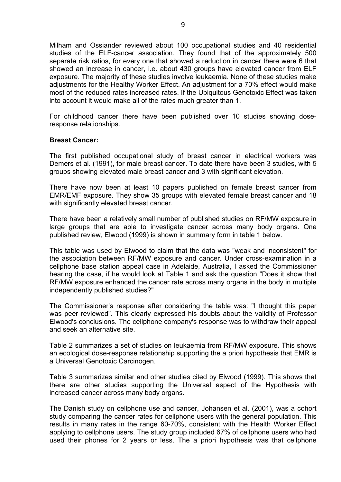Milham and Ossiander reviewed about 100 occupational studies and 40 residential studies of the ELF-cancer association. They found that of the approximately 500 separate risk ratios, for every one that showed a reduction in cancer there were 6 that showed an increase in cancer, i.e. about 430 groups have elevated cancer from ELF exposure. The majority of these studies involve leukaemia. None of these studies make adjustments for the Healthy Worker Effect. An adjustment for a 70% effect would make most of the reduced rates increased rates. If the Ubiquitous Genotoxic Effect was taken into account it would make all of the rates much greater than 1.

For childhood cancer there have been published over 10 studies showing doseresponse relationships.

#### **Breast Cancer:**

The first published occupational study of breast cancer in electrical workers was Demers et al. (1991), for male breast cancer. To date there have been 3 studies, with 5 groups showing elevated male breast cancer and 3 with significant elevation.

There have now been at least 10 papers published on female breast cancer from EMR/EMF exposure. They show 35 groups with elevated female breast cancer and 18 with significantly elevated breast cancer.

There have been a relatively small number of published studies on RF/MW exposure in large groups that are able to investigate cancer across many body organs. One published review, Elwood (1999) is shown in summary form in table 1 below.

This table was used by Elwood to claim that the data was "weak and inconsistent" for the association between RF/MW exposure and cancer. Under cross-examination in a cellphone base station appeal case in Adelaide, Australia, I asked the Commissioner hearing the case, if he would look at Table 1 and ask the question "Does it show that RF/MW exposure enhanced the cancer rate across many organs in the body in multiple independently published studies?"

The Commissioner's response after considering the table was: "I thought this paper was peer reviewed". This clearly expressed his doubts about the validity of Professor Elwood's conclusions. The cellphone company's response was to withdraw their appeal and seek an alternative site.

Table 2 summarizes a set of studies on leukaemia from RF/MW exposure. This shows an ecological dose-response relationship supporting the a priori hypothesis that EMR is a Universal Genotoxic Carcinogen.

Table 3 summarizes similar and other studies cited by Elwood (1999). This shows that there are other studies supporting the Universal aspect of the Hypothesis with increased cancer across many body organs.

The Danish study on cellphone use and cancer, Johansen et al. (2001), was a cohort study comparing the cancer rates for cellphone users with the general population. This results in many rates in the range 60-70%, consistent with the Health Worker Effect applying to cellphone users. The study group included 67% of cellphone users who had used their phones for 2 years or less. The a priori hypothesis was that cellphone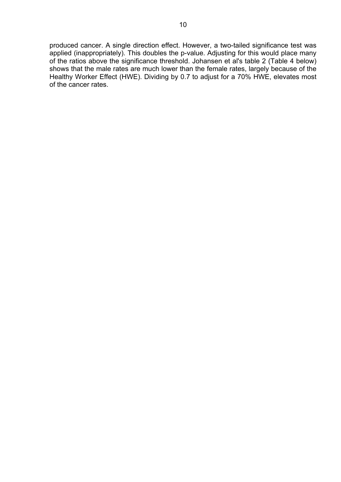produced cancer. A single direction effect. However, a two-tailed significance test was applied (inappropriately). This doubles the p-value. Adjusting for this would place many of the ratios above the significance threshold. Johansen et al's table 2 (Table 4 below) shows that the male rates are much lower than the female rates, largely because of the Healthy Worker Effect (HWE). Dividing by 0.7 to adjust for a 70% HWE, elevates most of the cancer rates.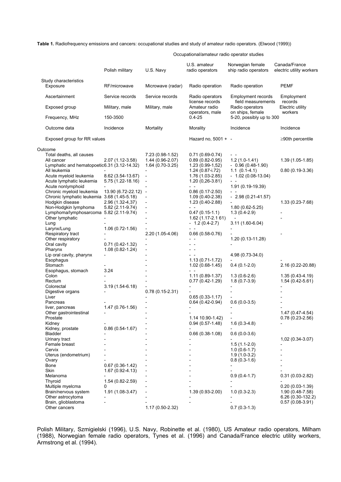**Table 1.** Radiofrequency emissions and cancers: occupational studies and study of amateur radio operators. (Elwood (1999))

Occupational/amateur radio operator studies

|                                             | Polish military      | U.S. Navy                                 | U.S. amateur<br>radio operators  | Norwegian female<br>ship radio operators     | Canada/France<br>electric utility workers |
|---------------------------------------------|----------------------|-------------------------------------------|----------------------------------|----------------------------------------------|-------------------------------------------|
| Study characteristics<br>Exposure           | RF/microwave         | Microwave (radar)                         | Radio operation                  | Radio operation                              | <b>PEMF</b>                               |
| Ascertainment                               | Service records      | Service records                           | Radio operators                  | Employment records                           | Employment                                |
| Exposed group                               | Military, male       | Military, male                            | license records<br>Amateur radio | field measurements<br>Radio operators        | records<br>Electric utility               |
| Frequency, MHz                              | 150-3500             |                                           | operators, male<br>$0.4 - 25$    | on ships, female<br>5-20, possibly up to 300 | workers                                   |
| Outcome data                                | Incidence            | Mortality                                 | Morality                         | Incidence                                    | Incidence                                 |
| Exposed group for RR values                 |                      |                                           | Hazard no, 5001 + -              |                                              | $\geq$ 90th percentile                    |
| Outcome                                     |                      |                                           |                                  |                                              |                                           |
| Total deaths, all causes                    |                      | 7.23 (0.98-1.52)                          | $0.71(0.69-0.74)$                |                                              |                                           |
| All cancer                                  | 2.07 (1.12-3.58)     | 1.44 (0.96-2.07)                          | $0.89(0.82-0.95)$                | $1.2(1.0-1.41)$                              | $1.39(1.05-1.85)$                         |
| Lymphatic and hematopoetic6.31 (3.12-14.32) |                      | 1.64 (0.70-3.25)                          | $1.23(0.99-1.52)$                | $-0.96(0.48-1.90)$                           |                                           |
| All leukemia                                |                      |                                           | $1.24(0.87 - i.72)$              | $1.1(0.1-4.1)$                               | $0.80(0.19-3.36)$                         |
| Acute myeloid leukemia                      | 8.62 (3.54-13.67)    |                                           | 1.76 (1.03-2.85)                 | $-1.02(0.08-13.04)$                          |                                           |
| Acute lymphatic leukemia                    | 5.75 (1.22-18.16)    | $\overline{\phantom{a}}$                  | 1.20 (0,26-3.81)                 | $ -$                                         |                                           |
| Acute nonlymphoid                           |                      |                                           | $ -$                             | 1.91 (0.19-19.39)                            |                                           |
| Chronic myeloid leukemia                    | 13.90 (6.72-22.12) - |                                           | $0.86(0.17 - 2.50)$              |                                              |                                           |
| Chronic lymphatic leukemia 3.68 (1.45-5.18) |                      |                                           | $1.09(0.40-2.38)$                | $-2.98(0.21-41.57)$                          |                                           |
| Hodgkin disease                             | 2.96 (1.32-4,37)     |                                           | $1.23(0.40-2.88)$                |                                              | 1.33 (0.23-7.68)                          |
| Non-Hodgkin lymphoma                        | 5.82 (2.11-9.74)     | $\qquad \qquad \blacksquare$              | $ -$                             | $1.80(0.62 - 5.25)$                          |                                           |
| Lymphoma/lymphosarcoma 5.82 (2.11-9.74)     |                      |                                           | $0.47(0.15-1.1)$                 | $1.3(0.4-2.9)$                               |                                           |
| Other lymphatic                             |                      |                                           | 1.62 (1.17-2.1 61)               |                                              |                                           |
| Lung                                        |                      |                                           | $-1.2(0.4-2.7)$                  | $3.11(1.60-6.04)$                            |                                           |
| Larynx/Lung                                 | $1.06(0.72 - 1.56)$  |                                           |                                  |                                              |                                           |
| Respiratory tract                           |                      | 2.20 (1.05-4.06)                          | $0.66(0.58-0.76)$                |                                              |                                           |
| Other respiratory                           |                      |                                           | $ -$                             | 1.20 (0.13-11.28)                            |                                           |
| Oral cavity                                 | $0.71(0.42 - 1.32)$  | $\overline{\phantom{a}}$<br>$\frac{1}{2}$ | $ -$                             |                                              |                                           |
| Pharynx                                     | $1.08(0.82 - 1.24)$  |                                           |                                  |                                              |                                           |
| Lip oral cavity, pharynx<br>Esophagus       |                      |                                           | $1.13(0.71-1.72)$                | 4.98 (0.73-34.0)                             |                                           |
| Stomach                                     |                      |                                           | $1.02(0.68-1.45)$                | $0.4(0.1-2.0)$                               | 2.16 (0.22-20.88)                         |
| Esophagus, stomach                          | 3.24                 |                                           | $ -$                             |                                              |                                           |
| Colon                                       |                      |                                           | $1.11(0.89-1.37)$                | $1.3(0.6-2.6)$                               | 1.35 (0.43-4.19)                          |
| Rectum                                      |                      |                                           | $0.77(0.42-1.29)$                | $1.8(0.7-3.9)$                               | $1.54(0.42 - 5.61)$                       |
| Colorectal                                  | $3.19(1.54-6.18)$    |                                           |                                  |                                              |                                           |
| Digestive organs                            |                      | $0.78(0.15-2.31)$                         |                                  |                                              |                                           |
| Liver                                       |                      |                                           | $0.65(0.33 - 1.17)$              |                                              |                                           |
| Pancreas                                    |                      |                                           | $0.64(0.42-0.94)$                | $0.6(0.0-3.5)$                               |                                           |
| liver, pancreas                             | $1.47(0.76-1.56)$    |                                           |                                  |                                              |                                           |
| Other gastrointestinal                      |                      |                                           |                                  |                                              | 1.47 (0.47-4.54)                          |
| Prostate                                    |                      |                                           | 1.14 10.90-1.42)                 | $\overline{\phantom{a}}$                     | $0.78(0.23 - 2.56)$                       |
| Kidney                                      |                      |                                           | $0.94(0.57-1.48)$                | $1.6(0.3-4.8)$                               |                                           |
| Kidney, prostate                            | $0.86(0.54-1.67)$    |                                           |                                  |                                              |                                           |
| Bladder                                     |                      |                                           | $0.66(0.38-1.08)$                | $0.6(0.0-3.6)$                               |                                           |
| Urinary tract<br>Female breast              |                      |                                           |                                  | $1.5(1.1-2.0)$                               | 1,02 (0.34-3.07)                          |
| Cervix                                      |                      |                                           |                                  | $1.0(0.6-1.7)$                               |                                           |
| Uterus (endometrium)                        |                      |                                           |                                  | $1.9(1.0-3.2)$                               |                                           |
| Ovary                                       |                      |                                           |                                  | $0.8(0.3-1.6)$                               |                                           |
| Bone                                        | $0.67(0.36-1.42)$    |                                           |                                  |                                              |                                           |
| Skin                                        | $1.67(0.92 - 4.13)$  |                                           |                                  |                                              |                                           |
| Melanoma                                    |                      |                                           |                                  | $0.9(0.4-1.7)$                               | $0.31(0.03-2.82)$                         |
| Thyroid                                     | 1.54 (0.82-2.59)     |                                           |                                  |                                              |                                           |
| Multiple myelcma                            | 0                    |                                           |                                  |                                              | $0.20(0.03-1.39)$                         |
| Brain/nervous system                        | $1.91(1.08-3.47)$    |                                           | 1.39 (0.93-2.00)                 | $1.0(0.3-2.3)$                               | 1.90 (0.48-7.58)                          |
| Other astrocytoma                           |                      |                                           |                                  |                                              | 6.26 (0.30-132.2)                         |
| Brain, glioblastoma                         |                      |                                           |                                  |                                              | $0.57(0.08-3.91)$                         |
| Other cancers                               |                      | 1.17 (0.50-2.32)                          |                                  | $0.7(0.3-1.3)$                               |                                           |

Polish Military, Szmigielski (1996), U.S. Navy, Robinette et al. (1980), US Amateur radio operators, Milham (1988), Norwegian female radio operators, Tynes et al. (1996) and Canada/France electric utility workers, Armstrong et al. (1994).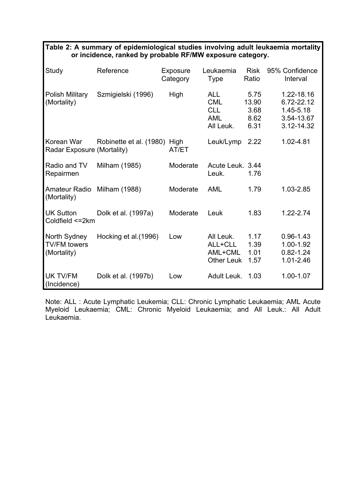|                                                    | or incidence, ranked by probable RF/MW exposure category. |                      |                                                                   |                                       |                                                                       |  |  |  |  |  |  |
|----------------------------------------------------|-----------------------------------------------------------|----------------------|-------------------------------------------------------------------|---------------------------------------|-----------------------------------------------------------------------|--|--|--|--|--|--|
| Study                                              | Reference                                                 | Exposure<br>Category | Leukaemia<br><b>Type</b>                                          | <b>Risk</b><br>Ratio                  | 95% Confidence<br>Interval                                            |  |  |  |  |  |  |
| <b>Polish Military</b><br>(Mortality)              | Szmigielski (1996)                                        | High                 | <b>ALL</b><br><b>CML</b><br><b>CLL</b><br><b>AML</b><br>All Leuk. | 5.75<br>13.90<br>3.68<br>8.62<br>6.31 | 1.22-18.16<br>6.72-22.12<br>$1.45 - 5.18$<br>3.54-13.67<br>3.12-14.32 |  |  |  |  |  |  |
| Korean War<br>Radar Exposure (Mortality)           | Robinette et al. (1980) High                              | AT/ET                | Leuk/Lymp                                                         | 2.22                                  | 1.02-4.81                                                             |  |  |  |  |  |  |
| Radio and TV<br>Repairmen                          | Milham (1985)                                             | Moderate             | Acute Leuk. 3.44<br>Leuk.                                         | 1.76                                  |                                                                       |  |  |  |  |  |  |
| Amateur Radio Milham (1988)<br>(Mortality)         |                                                           | Moderate             | <b>AML</b>                                                        | 1.79                                  | 1.03-2.85                                                             |  |  |  |  |  |  |
| <b>UK Sutton</b><br>Coldfield <= 2km               | Dolk et al. (1997a)                                       | Moderate             | Leuk                                                              | 1.83                                  | $1.22 - 2.74$                                                         |  |  |  |  |  |  |
| North Sydney<br><b>TV/FM</b> towers<br>(Mortality) | Hocking et al.(1996)                                      | Low                  | All Leuk.<br>ALL+CLL<br>AML+CML<br><b>Other Leuk</b>              | 1.17<br>1.39<br>1.01<br>1.57          | $0.96 - 1.43$<br>1.00-1.92<br>$0.82 - 1.24$<br>1.01-2.46              |  |  |  |  |  |  |
| <b>UK TV/FM</b><br>(Incidence)                     | Dolk et al. (1997b)                                       | Low                  | Adult Leuk.                                                       | 1.03                                  | 1.00-1.07                                                             |  |  |  |  |  |  |

Note: ALL : Acute Lymphatic Leukemia; CLL: Chronic Lymphatic Leukaemia; AML Acute Myeloid Leukaemia; CML: Chronic Myeloid Leukaemia; and All Leuk.: All Adult Leukaemia.

| Table 2: A summary of epidemiological studies involving adult leukaemia mortality |                                                           |  |  |
|-----------------------------------------------------------------------------------|-----------------------------------------------------------|--|--|
|                                                                                   | or incidence, ranked by probable RF/MW exposure category. |  |  |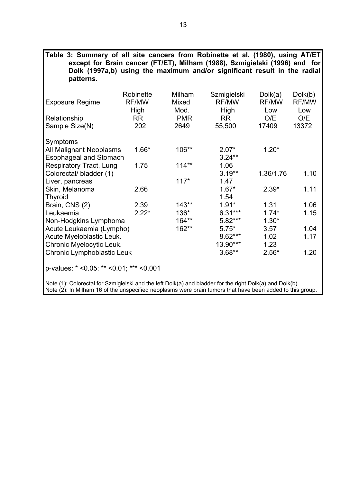| Table 3: Summary of all site cancers from Robinette et al. (1980), using AT/ET<br>except for Brain cancer (FT/ET), Milham (1988), Szmigielski (1996) and for |           |            |              |              |              |
|--------------------------------------------------------------------------------------------------------------------------------------------------------------|-----------|------------|--------------|--------------|--------------|
| Dolk (1997a,b) using the maximum and/or significant result in the radial                                                                                     |           |            |              |              |              |
| patterns.                                                                                                                                                    |           |            |              |              |              |
|                                                                                                                                                              | Robinette | Milham     | Szmigielski  | Dolk(a)      | Dolk(b)      |
| <b>Exposure Regime</b>                                                                                                                                       | RF/MW     | Mixed      | <b>RF/MW</b> | <b>RF/MW</b> | <b>RF/MW</b> |
|                                                                                                                                                              | High      | Mod.       | High         | Low          | Low          |
| Relationship                                                                                                                                                 | <b>RR</b> | <b>PMR</b> | <b>RR</b>    | O/E          | O/E          |
| Sample Size(N)                                                                                                                                               | 202       | 2649       | 55,500       | 17409        | 13372        |
|                                                                                                                                                              |           |            |              |              |              |
| Symptoms<br>All Malignant Neoplasms                                                                                                                          | 1.66*     | 106**      | $2.07*$      | $1.20*$      |              |
| <b>Esophageal and Stomach</b>                                                                                                                                |           |            | $3.24***$    |              |              |
| <b>Respiratory Tract, Lung</b>                                                                                                                               | 1.75      | $114**$    | 1.06         |              |              |
| Colorectal/ bladder (1)                                                                                                                                      |           |            | $3.19**$     | 1.36/1.76    | 1.10         |
| Liver, pancreas                                                                                                                                              |           | $117*$     | 1.47         |              |              |
| Skin, Melanoma                                                                                                                                               | 2.66      |            | $1.67*$      | $2.39*$      | 1.11         |
| <b>Thyroid</b>                                                                                                                                               |           |            | 1.54         |              |              |
| Brain, CNS (2)                                                                                                                                               | 2.39      | $143**$    | $1.91*$      | 1.31         | 1.06         |
| Leukaemia                                                                                                                                                    | $2.22*$   | $136*$     | $6.31***$    | $1.74*$      | 1.15         |
| Non-Hodgkins Lymphoma                                                                                                                                        |           | $164**$    | 5.82***      | $1.30*$      |              |
| Acute Leukaemia (Lympho)                                                                                                                                     |           | 162**      | $5.75*$      | 3.57         | 1.04         |
| Acute Myeloblastic Leuk.                                                                                                                                     |           |            | 8.62***      | 1.02         | 1.17         |
| Chronic Myelocytic Leuk.                                                                                                                                     |           |            | 13.90***     | 1.23         |              |
| Chronic Lymphoblastic Leuk                                                                                                                                   |           |            | $3.68**$     | $2.56*$      | 1.20         |
| p-values: * < 0.05; ** < 0.01; *** < 0.001                                                                                                                   |           |            |              |              |              |

Note (1): Colorectal for Szmigielski and the left Dolk(a) and bladder for the right Dolk(a) and Dolk(b). Note (2): In Milham 16 of the unspecified neoplasms were brain tumors that have been added to this group.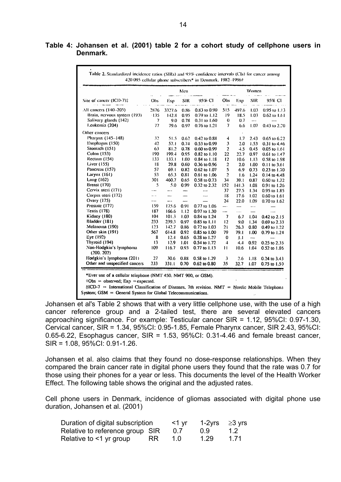|                                     | Men                 |               |                          |                  |                |          |                          | Women            |  |  |  |
|-------------------------------------|---------------------|---------------|--------------------------|------------------|----------------|----------|--------------------------|------------------|--|--|--|
| Site of cancer (ICD-7)‡             | Obs                 | Exp           | SIR                      | 95% CI           | Obs            | Exp      | SIR                      | 95% CI           |  |  |  |
| All cancers (140--205)              | 2876                | 3327.6        | 0.86                     | 0.83 to 0.90     | 515            | 497.6    | 1.03                     | $0.95$ to $1.13$ |  |  |  |
| Brain, nervous system (193)         | $-135$              | 142.8         | 0.95                     | $0.79$ to $1.12$ | 19             | 18.5     | 1.03                     | $0.62$ to $1.61$ |  |  |  |
| Salivary glands (142)               | $\boldsymbol{\eta}$ | 9.0           | 0.78                     | $0.31$ to $1.60$ | 0              | 0.7      | $\rightarrow$            |                  |  |  |  |
| Leukemia (204)                      | 77                  | 79.6          | 0.97                     | $0.76$ to $1.21$ | $\overline{7}$ | 6.6      | 1.07                     | $0.43$ to $2.20$ |  |  |  |
| Other cancers                       |                     |               |                          |                  |                |          |                          |                  |  |  |  |
| Pharynx (145-148)                   | 32                  | 51.5          | 0.62                     | 0.42 to 0.88     | 4              | 1.7      | 2.43                     | $0.65$ to $6.22$ |  |  |  |
| Esophagus (150)                     | 42                  | 57.1          | 0.74                     | 0.53 to 0.99     | 3              | 2.0      | 1.53                     | $0.31$ to $4.46$ |  |  |  |
| Stomach (151)                       | 63                  | 81.2          | 0.78                     | $0.60$ to $0.99$ | 2              | 4.5      | 0.45                     | 0.05 to 1.61     |  |  |  |
| Colon (153)                         | 190                 | 199.4         | 0.95                     | $0.82$ to $1.10$ | 22             | 22.7     | 0.97                     | $0.61$ to $1.47$ |  |  |  |
| Rectum (154)                        | 133                 | 133.1         | 1.00                     | $0.84$ to $1.18$ | 12             | 10.6     | 1.13                     | 0.58 to 1.98     |  |  |  |
| Liver (155)                         | 18                  | 29.8          | 0.60                     | $0.36$ to $0.96$ | $\overline{a}$ | 2.0      | 1.00                     | $0.11$ to $3.61$ |  |  |  |
| Pancreas (157)                      | 57                  | 69.1          | 0.82                     | $0.62$ to $1.07$ | 5              | 6.9      | 0.73                     | $0.23$ to $1.70$ |  |  |  |
| Larynx (161)                        | 53                  | 65.3          | 0.81                     | 0.61 to 1.06     | $\overline{a}$ | 1.6      | 1.24                     | $0.14$ to $4.48$ |  |  |  |
| Lung (162)                          | 301                 | 460.7         | 0.65                     | 0.58 to 0.73     | 34             | 39.1     | 0.87                     | $0.60$ to $1.22$ |  |  |  |
| Breast (170)                        | 5                   | 5.0           | 0.99                     | 0.32 to 2.32     | 152            | 141.3    | 1.08                     | 0.91 to 1.26     |  |  |  |
| Cervix uteri (171)                  | $\cdots$            | $\frac{1}{2}$ | -                        | ---              | 37             | 27.5     | 1.34                     | 0.95 to 1.85     |  |  |  |
| Corpus uteri (172)                  |                     | -             |                          | ----             | 18             | 17.6     | 1.02                     | $0.60$ to $1.61$ |  |  |  |
| Ovary (175)                         | -----               | ——            | $\overline{\phantom{a}}$ |                  | 24             | 22.0     | 1.09                     | 0.70 to 1.62     |  |  |  |
| Prostate (177)                      | 159                 | 175.6         | 0.91                     | 0.77 to 1.06     | —- .           |          | $\cdots$                 |                  |  |  |  |
| Testis (178)                        | 187                 | 166.6         | 1.12                     | 0.97 to 1.30     | ---            | $\ldots$ |                          | ---              |  |  |  |
| Kidney (180)                        | 104                 | 101.3         | 1.03                     | 0.84 to 1.24     | 7              | 6.7      | 1.01                     | 0.42 to 2.15     |  |  |  |
| Bladder (181)                       | 233                 | 239.3         | 0.97                     | 0.85 to 1.11     | 12             | 9.0      | 1.34                     | 0.69 to 2.33     |  |  |  |
| Melanoma (190)                      | 123                 | 142.7         | 0.86                     | 0.72 to 1.03     | 21             | 26.3     | 0.80                     | 0.49 to 1.22     |  |  |  |
| Other skin (191)                    | 567                 | 614.8         | 0.92                     | $0.85$ to $1.00$ | 79             | 79.1     | 1.00                     | 0.79 to 1.24     |  |  |  |
| Eye(192)                            | 8                   | 12.4          | 0.65                     | 0.28 to 1.27     | 0              | 1.1      | $\overline{\phantom{a}}$ |                  |  |  |  |
| Thyroid (194)                       | 13                  | 12.9          | 1.01                     | 0.54 to 1.72     | $\downarrow$   | 4.4      | 0.92                     | 0.25 to 2.35     |  |  |  |
| Non-Hodgkin's lymphoma<br>(200.202) | 109                 | 116.7         | 0.93                     | 0.77 to 1.13     | Ħ              | 10.6     | 1.04                     | 0.52 to 1.86     |  |  |  |
| Hodgkin's lymphoma (201)            | 27                  | 30.6          | 0.88                     | 0.58 to 1.29     | 3              | 2.6      | 1.18                     | $0.24$ to $3.43$ |  |  |  |
| Other and unspecified cancers       | 233                 | 331.1         | 0.70                     | 0.62 to 0.80     | 35             | 32.7     | 1.07                     | $0.75$ to $1.5$  |  |  |  |

| Table 4: Johansen et al. (2001) table 2 for a cohort study of cellphone users in |  |  |  |  |  |  |
|----------------------------------------------------------------------------------|--|--|--|--|--|--|
| Denmark.                                                                         |  |  |  |  |  |  |

 $\dot{\tau}$ ICD-7 = International Classification of Diseases, 7th revision. NMT = Nordic Mobile Telephone System; GSM = General System for Global Telecommunications.

Johansen et al's Table 2 shows that with a very little cellphone use, with the use of a high cancer reference group and a 2-tailed test, there are several elevated cancers approaching significance. For example: Testicular cancer SIR = 1.12, 95%CI: 0.97-1.30, Cervical cancer, SIR = 1.34, 95%CI: 0.95-1.85, Female Pharynx cancer, SIR 2.43, 95%CI: 0.65-6.22, Esophagus cancer,  $SIR = 1.53$ ,  $95\%CI: 0.31-4.46$  and female breast cancer, SIR = 1.08, 95%CI: 0.91-1.26.

Johansen et al. also claims that they found no dose-response relationships. When they compared the brain cancer rate in digital phone users they found that the rate was 0.7 for those using their phones for a year or less. This documents the level of the Health Worker Effect. The following table shows the original and the adjusted rates.

Cell phone users in Denmark, incidence of gliomas associated with digital phone use duration, Johansen et al. (2001)

| Duration of digital subscription |     | $<$ 1 yr | 1-2yrs | ≥3 yrs        |
|----------------------------------|-----|----------|--------|---------------|
| Relative to reference group SIR  |     | 0.7      | 0.9    | $1.2^{\circ}$ |
| Relative to <1 yr group          | RR. | 1.0      | 1.29   | 1.71          |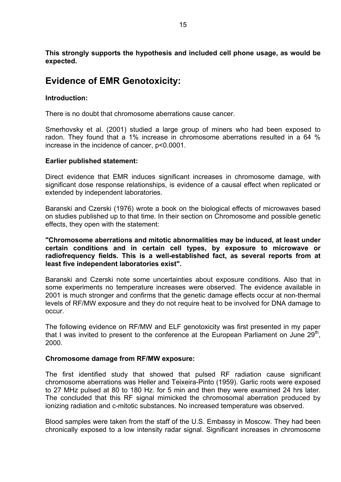**This strongly supports the hypothesis and included cell phone usage, as would be expected.** 

## **Evidence of EMR Genotoxicity:**

#### **Introduction:**

There is no doubt that chromosome aberrations cause cancer.

Smerhovsky et al. (2001) studied a large group of miners who had been exposed to radon. They found that a 1% increase in chromosome aberrations resulted in a 64 % increase in the incidence of cancer, p<0.0001.

#### **Earlier published statement:**

Direct evidence that EMR induces significant increases in chromosome damage, with significant dose response relationships, is evidence of a causal effect when replicated or extended by independent laboratories.

Baranski and Czerski (1976) wrote a book on the biological effects of microwaves based on studies published up to that time. In their section on Chromosome and possible genetic effects, they open with the statement:

**"Chromosome aberrations and mitotic abnormalities may be induced, at least under certain conditions and in certain cell types, by exposure to microwave or radiofrequency fields. This is a well-established fact, as several reports from at least five independent laboratories exist".** 

Baranski and Czerski note some uncertainties about exposure conditions. Also that in some experiments no temperature increases were observed. The evidence available in 2001 is much stronger and confirms that the genetic damage effects occur at non-thermal levels of RF/MW exposure and they do not require heat to be involved for DNA damage to occur.

The following evidence on RF/MW and ELF genotoxicity was first presented in my paper that I was invited to present to the conference at the European Parliament on June  $29<sup>th</sup>$ , 2000.

#### **Chromosome damage from RF/MW exposure:**

The first identified study that showed that pulsed RF radiation cause significant chromosome aberrations was Heller and Teixeira-Pinto (1959). Garlic roots were exposed to 27 MHz pulsed at 80 to 180 Hz. for 5 min and then they were examined 24 hrs later. The concluded that this RF signal mimicked the chromosomal aberration produced by ionizing radiation and c-mitotic substances. No increased temperature was observed.

Blood samples were taken from the staff of the U.S. Embassy in Moscow. They had been chronically exposed to a low intensity radar signal. Significant increases in chromosome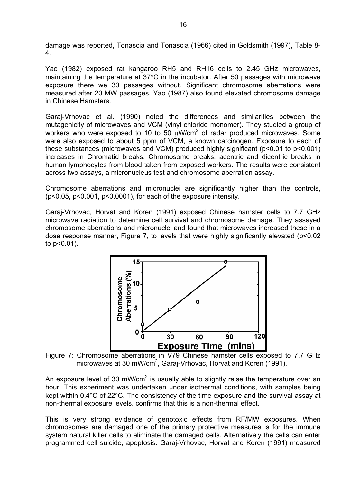damage was reported, Tonascia and Tonascia (1966) cited in Goldsmith (1997), Table 8- 4.

Yao (1982) exposed rat kangaroo RH5 and RH16 cells to 2.45 GHz microwaves, maintaining the temperature at 37°C in the incubator. After 50 passages with microwave exposure there we 30 passages without. Significant chromosome aberrations were measured after 20 MW passages. Yao (1987) also found elevated chromosome damage in Chinese Hamsters.

Garaj-Vrhovac et al. (1990) noted the differences and similarities between the mutagenicity of microwaves and VCM (vinyl chloride monomer). They studied a group of workers who were exposed to 10 to 50  $\mu$ W/cm<sup>2</sup> of radar produced microwaves. Some were also exposed to about 5 ppm of VCM, a known carcinogen. Exposure to each of these substances (microwaves and VCM) produced highly significant (p<0.01 to p<0.001) increases in Chromatid breaks, Chromosome breaks, acentric and dicentric breaks in human lymphocytes from blood taken from exposed workers. The results were consistent across two assays, a micronucleus test and chromosome aberration assay.

Chromosome aberrations and micronuclei are significantly higher than the controls, (p<0.05, p<0.001, p<0.0001), for each of the exposure intensity.

Garaj-Vrhovac, Horvat and Koren (1991) exposed Chinese hamster cells to 7.7 GHz microwave radiation to determine cell survival and chromosome damage. They assayed chromosome aberrations and micronuclei and found that microwaves increased these in a dose response manner, Figure 7, to levels that were highly significantly elevated (p<0.02 to p<0.01).



Figure 7: Chromosome aberrations in V79 Chinese hamster cells exposed to 7.7 GHz microwaves at 30 mW/cm<sup>2</sup>, Garaj-Vrhovac, Horvat and Koren (1991).

An exposure level of 30 mW/cm<sup>2</sup> is usually able to slightly raise the temperature over an hour. This experiment was undertaken under isothermal conditions, with samples being kept within 0.4°C of 22°C. The consistency of the time exposure and the survival assay at non-thermal exposure levels, confirms that this is a non-thermal effect.

This is very strong evidence of genotoxic effects from RF/MW exposures. When chromosomes are damaged one of the primary protective measures is for the immune system natural killer cells to eliminate the damaged cells. Alternatively the cells can enter programmed cell suicide, apoptosis. Garaj-Vrhovac, Horvat and Koren (1991) measured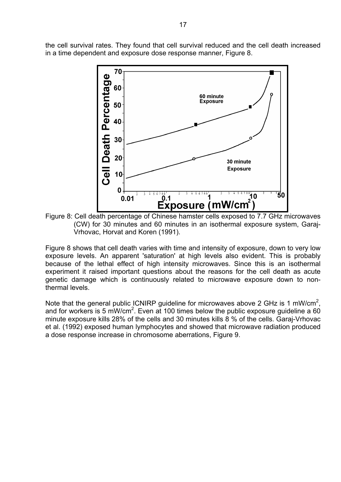the cell survival rates. They found that cell survival reduced and the cell death increased in a time dependent and exposure dose response manner, Figure 8.



Figure 8: Cell death percentage of Chinese hamster cells exposed to 7.7 GHz microwaves (CW) for 30 minutes and 60 minutes in an isothermal exposure system, Garaj-Vrhovac, Horvat and Koren (1991).

Figure 8 shows that cell death varies with time and intensity of exposure, down to very low exposure levels. An apparent 'saturation' at high levels also evident. This is probably because of the lethal effect of high intensity microwaves. Since this is an isothermal experiment it raised important questions about the reasons for the cell death as acute genetic damage which is continuously related to microwave exposure down to nonthermal levels.

Note that the general public ICNIRP guideline for microwaves above 2 GHz is 1 mW/cm<sup>2</sup>, and for workers is 5 mW/cm<sup>2</sup>. Even at 100 times below the public exposure guideline a 60 minute exposure kills 28% of the cells and 30 minutes kills 8 % of the cells. Garaj-Vrhovac et al. (1992) exposed human lymphocytes and showed that microwave radiation produced a dose response increase in chromosome aberrations, Figure 9.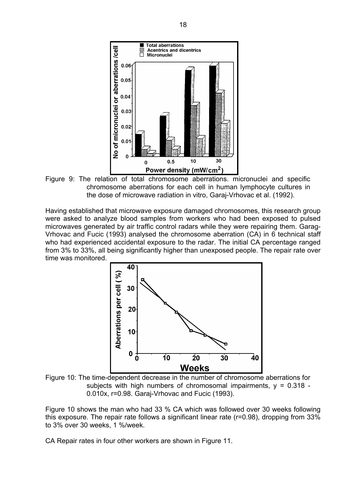

Figure 9: The relation of total chromosome aberrations. micronuclei and specific chromosome aberrations for each cell in human lymphocyte cultures in the dose of microwave radiation in vitro, Garaj-Vrhovac et al. (1992).

Having established that microwave exposure damaged chromosomes, this research group were asked to analyze blood samples from workers who had been exposed to pulsed microwaves generated by air traffic control radars while they were repairing them. Garag-Vrhovac and Fucic (1993) analysed the chromosome aberration (CA) in 6 technical staff who had experienced accidental exposure to the radar. The initial CA percentage ranged from 3% to 33%, all being significantly higher than unexposed people. The repair rate over time was monitored.



Figure 10: The time-dependent decrease in the number of chromosome aberrations for subjects with high numbers of chromosomal impairments,  $y = 0.318$  -0.010x, r=0.98. Garaj-Vrhovac and Fucic (1993).

Figure 10 shows the man who had 33 % CA which was followed over 30 weeks following this exposure. The repair rate follows a significant linear rate (r=0.98), dropping from 33% to 3% over 30 weeks, 1 %/week.

CA Repair rates in four other workers are shown in Figure 11.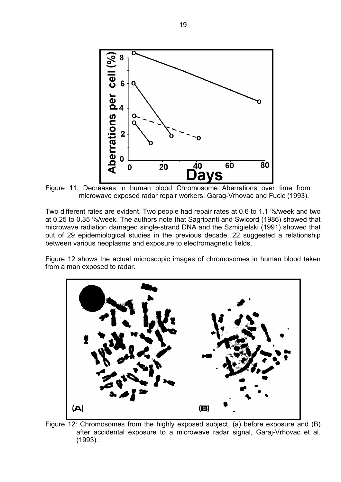

Figure 11: Decreases in human blood Chromosome Aberrations over time from microwave exposed radar repair workers, Garag-Vrhovac and Fucic (1993).

Two different rates are evident. Two people had repair rates at 0.6 to 1.1 %/week and two at 0.25 to 0.35 %/week. The authors note that Sagripanti and Swicord (1986) showed that microwave radiation damaged single-strand DNA and the Szmigielski (1991) showed that out of 29 epidemiological studies in the previous decade, 22 suggested a relationship between various neoplasms and exposure to electromagnetic fields.

Figure 12 shows the actual microscopic images of chromosomes in human blood taken from a man exposed to radar.



Figure 12: Chromosomes from the highly exposed subject, (a) before exposure and (B) after accidental exposure to a microwave radar signal, Garaj-Vrhovac et al. (1993).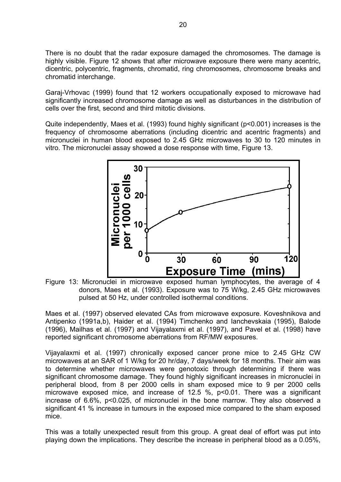There is no doubt that the radar exposure damaged the chromosomes. The damage is highly visible. Figure 12 shows that after microwave exposure there were many acentric, dicentric, polycentric, fragments, chromatid, ring chromosomes, chromosome breaks and chromatid interchange.

Garaj-Vrhovac (1999) found that 12 workers occupationally exposed to microwave had significantly increased chromosome damage as well as disturbances in the distribution of cells over the first, second and third mitotic divisions.

Quite independently, Maes et al. (1993) found highly significant (p<0.001) increases is the frequency of chromosome aberrations (including dicentric and acentric fragments) and micronuclei in human blood exposed to 2.45 GHz microwaves to 30 to 120 minutes in vitro. The micronuclei assay showed a dose response with time, Figure 13.



donors, Maes et al. (1993). Exposure was to 75 W/kg, 2.45 GHz microwaves pulsed at 50 Hz, under controlled isothermal conditions.

Maes et al. (1997) observed elevated CAs from microwave exposure. Koveshnikova and Antipenko (1991a,b), Haider et al. (1994) Timchenko and Ianchevskaia (1995), Balode (1996), Mailhas et al. (1997) and Vijayalaxmi et al. (1997), and Pavel et al. (1998) have reported significant chromosome aberrations from RF/MW exposures.

Vijayalaxmi et al. (1997) chronically exposed cancer prone mice to 2.45 GHz CW microwaves at an SAR of 1 W/kg for 20 hr/day, 7 days/week for 18 months. Their aim was to determine whether microwaves were genotoxic through determining if there was significant chromosome damage. They found highly significant increases in micronuclei in peripheral blood, from 8 per 2000 cells in sham exposed mice to 9 per 2000 cells microwave exposed mice, and increase of 12.5 %, p<0.01. There was a significant increase of 6.6%, p<0.025, of micronuclei in the bone marrow. They also observed a significant 41 % increase in tumours in the exposed mice compared to the sham exposed mice.

This was a totally unexpected result from this group. A great deal of effort was put into playing down the implications. They describe the increase in peripheral blood as a 0.05%,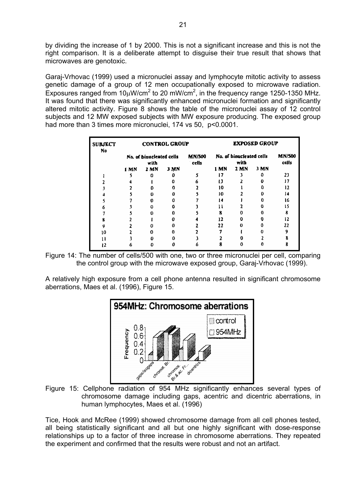by dividing the increase of 1 by 2000. This is not a significant increase and this is not the right comparison. It is a deliberate attempt to disguise their true result that shows that microwaves are genotoxic.

Garaj-Vrhovac (1999) used a micronuclei assay and lymphocyte mitotic activity to assess genetic damage of a group of 12 men occupationally exposed to microwave radiation. Exposures ranged from  $10\mu$ W/cm<sup>2</sup> to 20 mW/cm<sup>2</sup>, in the frequency range 1250-1350 MHz. It was found that there was significantly enhanced micronuclei formation and significantly altered mitotic activity. Figure 8 shows the table of the micronuclei assay of 12 control subjects and 12 MW exposed subjects with MW exposure producing. The exposed group had more than 3 times more micronuclei, 174 vs 50, p<0.0001.

| <b>SUBJECT</b><br>No |             |                                  | <b>CONTROL GROUP</b> |                        | <b>EXPOSED GROUP</b>     |                        |      |     |
|----------------------|-------------|----------------------------------|----------------------|------------------------|--------------------------|------------------------|------|-----|
|                      |             | No. of binucleated cells<br>with |                      | <b>MN/500</b><br>cells | No. of binucleated cells | <b>MN/500</b><br>cells |      |     |
|                      | <b>I MN</b> | 2 MN                             | 3 MN                 |                        | 1 MN                     | 2 MN                   | 3 MN |     |
|                      |             |                                  |                      |                        |                          |                        | o    | 23  |
|                      |             |                                  |                      | ħ.                     | י ו                      |                        | Ω    | 17  |
|                      |             |                                  | o                    |                        | 10                       |                        |      | 12  |
|                      |             | o                                | Ω                    |                        | 10                       |                        |      | 14  |
|                      |             | 0                                |                      |                        | 14                       |                        | 0    | I6  |
|                      |             | o                                |                      |                        | l l                      |                        | 0    | ı s |
|                      |             |                                  | Λ                    |                        | 8                        |                        | 0    | 8   |
|                      |             |                                  |                      |                        | 12                       |                        |      | 12  |
| g                    |             |                                  |                      |                        | 22                       |                        |      | 22  |
| 10                   |             |                                  | o                    |                        |                          |                        |      | 9   |
|                      |             |                                  | Ω                    |                        |                          |                        |      |     |
| כו                   |             |                                  |                      |                        |                          |                        |      |     |

Figure 14: The number of cells/500 with one, two or three micronuclei per cell, comparing the control group with the microwave exposed group, Garaj-Vrhovac (1999).

A relatively high exposure from a cell phone antenna resulted in significant chromosome aberrations, Maes et al. (1996), Figure 15.



Figure 15: Cellphone radiation of 954 MHz significantly enhances several types of chromosome damage including gaps, acentric and dicentric aberrations, in human lymphocytes, Maes et al. (1996)

Tice, Hook and McRee (1999) showed chromosome damage from all cell phones tested, all being statistically significant and all but one highly significant with dose-response relationships up to a factor of three increase in chromosome aberrations. They repeated the experiment and confirmed that the results were robust and not an artifact.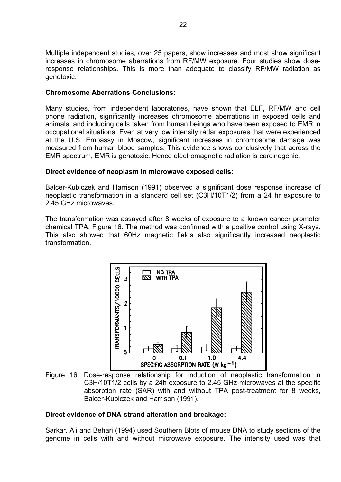Multiple independent studies, over 25 papers, show increases and most show significant increases in chromosome aberrations from RF/MW exposure. Four studies show doseresponse relationships. This is more than adequate to classify RF/MW radiation as genotoxic.

#### **Chromosome Aberrations Conclusions:**

Many studies, from independent laboratories, have shown that ELF, RF/MW and cell phone radiation, significantly increases chromosome aberrations in exposed cells and animals, and including cells taken from human beings who have been exposed to EMR in occupational situations. Even at very low intensity radar exposures that were experienced at the U.S. Embassy in Moscow, significant increases in chromosome damage was measured from human blood samples. This evidence shows conclusively that across the EMR spectrum, EMR is genotoxic. Hence electromagnetic radiation is carcinogenic.

#### **Direct evidence of neoplasm in microwave exposed cells:**

Balcer-Kubiczek and Harrison (1991) observed a significant dose response increase of neoplastic transformation in a standard cell set (C3H/10T1/2) from a 24 hr exposure to 2.45 GHz microwaves.

The transformation was assayed after 8 weeks of exposure to a known cancer promoter chemical TPA, Figure 16. The method was confirmed with a positive control using X-rays. This also showed that 60Hz magnetic fields also significantly increased neoplastic transformation.



Figure 16: Dose-response relationship for induction of neoplastic transformation in C3H/10T1/2 cells by a 24h exposure to 2.45 GHz microwaves at the specific absorption rate (SAR) with and without TPA post-treatment for 8 weeks, Balcer-Kubiczek and Harrison (1991).

#### **Direct evidence of DNA-strand alteration and breakage:**

Sarkar, Ali and Behari (1994) used Southern Blots of mouse DNA to study sections of the genome in cells with and without microwave exposure. The intensity used was that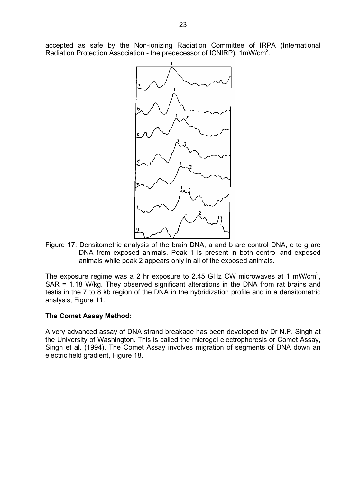accepted as safe by the Non-ionizing Radiation Committee of IRPA (International Radiation Protection Association - the predecessor of ICNIRP), 1mW/cm<sup>2</sup>.



Figure 17: Densitometric analysis of the brain DNA, a and b are control DNA, c to g are DNA from exposed animals. Peak 1 is present in both control and exposed animals while peak 2 appears only in all of the exposed animals.

The exposure regime was a 2 hr exposure to 2.45 GHz CW microwaves at 1 mW/cm<sup>2</sup>, SAR = 1.18 W/kg. They observed significant alterations in the DNA from rat brains and testis in the 7 to 8 kb region of the DNA in the hybridization profile and in a densitometric analysis, Figure 11.

#### **The Comet Assay Method:**

A very advanced assay of DNA strand breakage has been developed by Dr N.P. Singh at the University of Washington. This is called the microgel electrophoresis or Comet Assay, Singh et al. (1994). The Comet Assay involves migration of segments of DNA down an electric field gradient, Figure 18.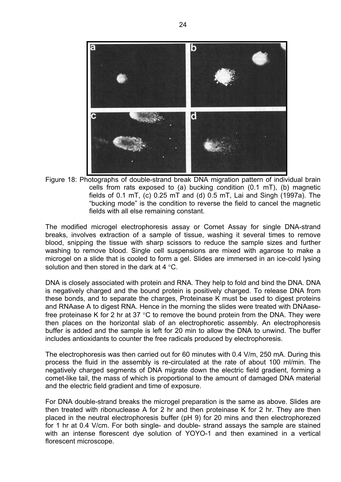

Figure 18: Photographs of double-strand break DNA migration pattern of individual brain cells from rats exposed to (a) bucking condition (0.1 mT), (b) magnetic fields of 0.1 mT, (c) 0.25 mT and (d) 0.5 mT, Lai and Singh (1997a). The "bucking mode" is the condition to reverse the field to cancel the magnetic fields with all else remaining constant.

The modified microgel electrophoresis assay or Comet Assay for single DNA-strand breaks, involves extraction of a sample of tissue, washing it several times to remove blood, snipping the tissue with sharp scissors to reduce the sample sizes and further washing to remove blood. Single cell suspensions are mixed with agarose to make a microgel on a slide that is cooled to form a gel. Slides are immersed in an ice-cold lysing solution and then stored in the dark at 4  $\degree$ C.

DNA is closely associated with protein and RNA. They help to fold and bind the DNA. DNA is negatively charged and the bound protein is positively charged. To release DNA from these bonds, and to separate the charges, Proteinase K must be used to digest proteins and RNAase A to digest RNA. Hence in the morning the slides were treated with DNAasefree proteinase K for 2 hr at 37 °C to remove the bound protein from the DNA. They were then places on the horizontal slab of an electrophoretic assembly. An electrophoresis buffer is added and the sample is left for 20 min to allow the DNA to unwind. The buffer includes antioxidants to counter the free radicals produced by electrophoresis.

The electrophoresis was then carried out for 60 minutes with 0.4 V/m, 250 mA. During this process the fluid in the assembly is re-circulated at the rate of about 100 ml/min. The negatively charged segments of DNA migrate down the electric field gradient, forming a comet-like tail, the mass of which is proportional to the amount of damaged DNA material and the electric field gradient and time of exposure.

For DNA double-strand breaks the microgel preparation is the same as above. Slides are then treated with ribonuclease A for 2 hr and then proteinase K for 2 hr. They are then placed in the neutral electrophoresis buffer (pH 9) for 20 mins and then electrophorezed for 1 hr at 0.4 V/cm. For both single- and double- strand assays the sample are stained with an intense florescent dye solution of YOYO-1 and then examined in a vertical florescent microscope.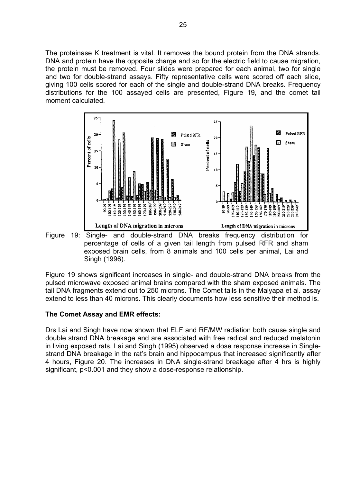The proteinase K treatment is vital. It removes the bound protein from the DNA strands. DNA and protein have the opposite charge and so for the electric field to cause migration, the protein must be removed. Four slides were prepared for each animal, two for single and two for double-strand assays. Fifty representative cells were scored off each slide, giving 100 cells scored for each of the single and double-strand DNA breaks. Frequency distributions for the 100 assayed cells are presented, Figure 19, and the comet tail moment calculated.



Figure 19: Single- and double-strand DNA breaks frequency distribution for percentage of cells of a given tail length from pulsed RFR and sham exposed brain cells, from 8 animals and 100 cells per animal, Lai and Singh (1996).

Figure 19 shows significant increases in single- and double-strand DNA breaks from the pulsed microwave exposed animal brains compared with the sham exposed animals. The tail DNA fragments extend out to 250 microns. The Comet tails in the Malyapa et al. assay extend to less than 40 microns. This clearly documents how less sensitive their method is.

#### **The Comet Assay and EMR effects:**

Drs Lai and Singh have now shown that ELF and RF/MW radiation both cause single and double strand DNA breakage and are associated with free radical and reduced melatonin in living exposed rats. Lai and Singh (1995) observed a dose response increase in Singlestrand DNA breakage in the rat's brain and hippocampus that increased significantly after 4 hours, Figure 20. The increases in DNA single-strand breakage after 4 hrs is highly significant, p<0.001 and they show a dose-response relationship.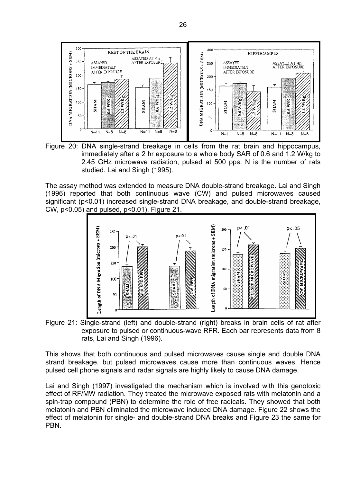

Figure 20: DNA single-strand breakage in cells from the rat brain and hippocampus, immediately after a 2 hr exposure to a whole body SAR of 0.6 and 1.2 W/kg to 2.45 GHz microwave radiation, pulsed at 500 pps. N is the number of rats studied. Lai and Singh (1995).

The assay method was extended to measure DNA double-strand breakage. Lai and Singh (1996) reported that both continuous wave (CW) and pulsed microwaves caused significant (p<0.01) increased single-strand DNA breakage, and double-strand breakage, CW, p<0.05) and pulsed, p<0.01), Figure 21.



Figure 21: Single-strand (left) and double-strand (right) breaks in brain cells of rat after exposure to pulsed or continuous-wave RFR. Each bar represents data from 8 rats, Lai and Singh (1996).

This shows that both continuous and pulsed microwaves cause single and double DNA strand breakage, but pulsed microwaves cause more than continuous waves. Hence pulsed cell phone signals and radar signals are highly likely to cause DNA damage.

Lai and Singh (1997) investigated the mechanism which is involved with this genotoxic effect of RF/MW radiation. They treated the microwave exposed rats with melatonin and a spin-trap compound (PBN) to determine the role of free radicals. They showed that both melatonin and PBN eliminated the microwave induced DNA damage. Figure 22 shows the effect of melatonin for single- and double-strand DNA breaks and Figure 23 the same for PBN.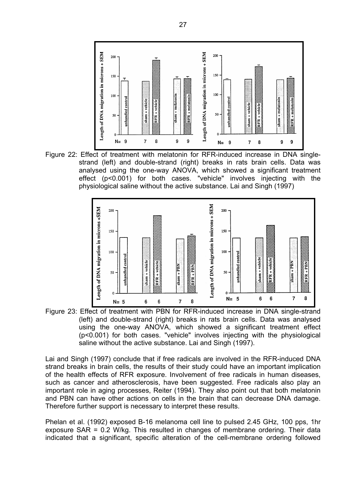

Figure 22: Effect of treatment with melatonin for RFR-induced increase in DNA singlestrand (left) and double-strand (right) breaks in rats brain cells. Data was analysed using the one-way ANOVA, which showed a significant treatment effect (p<0.001) for both cases. "vehicle" involves injecting with the physiological saline without the active substance. Lai and Singh (1997)



Figure 23: Effect of treatment with PBN for RFR-induced increase in DNA single-strand (left) and double-strand (right) breaks in rats brain cells. Data was analysed using the one-way ANOVA, which showed a significant treatment effect (p<0.001) for both cases. "vehicle" involves injecting with the physiological saline without the active substance. Lai and Singh (1997).

Lai and Singh (1997) conclude that if free radicals are involved in the RFR-induced DNA strand breaks in brain cells, the results of their study could have an important implication of the health effects of RFR exposure. Involvement of free radicals in human diseases, such as cancer and atherosclerosis, have been suggested. Free radicals also play an important role in aging processes, Reiter (1994). They also point out that both melatonin and PBN can have other actions on cells in the brain that can decrease DNA damage. Therefore further support is necessary to interpret these results.

Phelan et al. (1992) exposed B-16 melanoma cell line to pulsed 2.45 GHz, 100 pps, 1hr exposure SAR = 0.2 W/kg. This resulted in changes of membrane ordering. Their data indicated that a significant, specific alteration of the cell-membrane ordering followed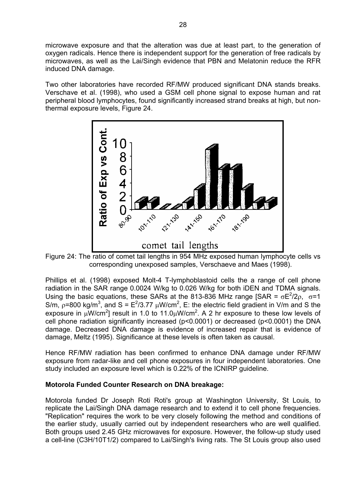microwave exposure and that the alteration was due at least part, to the generation of oxygen radicals. Hence there is independent support for the generation of free radicals by microwaves, as well as the Lai/Singh evidence that PBN and Melatonin reduce the RFR induced DNA damage.

Two other laboratories have recorded RF/MW produced significant DNA stands breaks. Verschave et al. (1998), who used a GSM cell phone signal to expose human and rat peripheral blood lymphocytes, found significantly increased strand breaks at high, but nonthermal exposure levels, Figure 24.



Figure 24: The ratio of comet tail lengths in 954 MHz exposed human lymphocyte cells vs corresponding unexposed samples, Verschaeve and Maes (1998).

Phillips et al. (1998) exposed Molt-4 T-lymphoblastoid cells the a range of cell phone radiation in the SAR range 0.0024 W/kg to 0.026 W/kg for both iDEN and TDMA signals. Using the basic equations, these SARs at the 813-836 MHz range [SAR =  $\sigma E^2/2\rho$ ,  $\sigma=1$ S/m,  $\rho$ =800 kg/m<sup>3</sup>, and S = E<sup>2</sup>/3.77  $\mu$ W/cm<sup>2</sup>, E: the electric field gradient in V/m and S the exposure in  $\mu$ W/cm<sup>2</sup>] result in 1.0 to 11.0 $\mu$ W/cm<sup>2</sup>. A 2 hr exposure to these low levels of cell phone radiation significantly increased (p<0.0001) or decreased (p<0.0001) the DNA damage. Decreased DNA damage is evidence of increased repair that is evidence of damage, Meltz (1995). Significance at these levels is often taken as causal.

Hence RF/MW radiation has been confirmed to enhance DNA damage under RF/MW exposure from radar-like and cell phone exposures in four independent laboratories. One study included an exposure level which is 0.22% of the ICNIRP guideline.

#### **Motorola Funded Counter Research on DNA breakage:**

Motorola funded Dr Joseph Roti Roti's group at Washington University, St Louis, to replicate the Lai/Singh DNA damage research and to extend it to cell phone frequencies. "Replication" requires the work to be very closely following the method and conditions of the earlier study, usually carried out by independent researchers who are well qualified. Both groups used 2.45 GHz microwaves for exposure. However, the follow-up study used a cell-line (C3H/10T1/2) compared to Lai/Singh's living rats. The St Louis group also used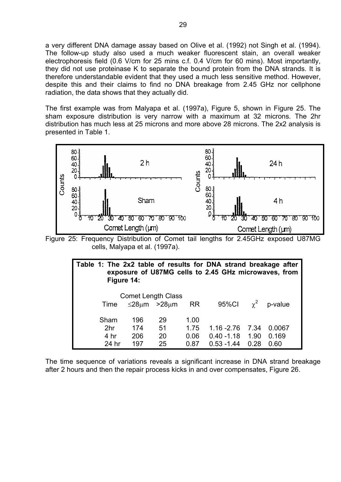a very different DNA damage assay based on Olive et al. (1992) not Singh et al. (1994). The follow-up study also used a much weaker fluorescent stain, an overall weaker electrophoresis field (0.6 V/cm for 25 mins c.f. 0.4 V/cm for 60 mins). Most importantly, they did not use proteinase K to separate the bound protein from the DNA strands. It is therefore understandable evident that they used a much less sensitive method. However, despite this and their claims to find no DNA breakage from 2.45 GHz nor cellphone radiation, the data shows that they actually did.

The first example was from Malyapa et al. (1997a), Figure 5, shown in Figure 25. The sham exposure distribution is very narrow with a maximum at 32 microns. The 2hr distribution has much less at 25 microns and more above 28 microns. The 2x2 analysis is presented in Table 1.



Figure 25: Frequency Distribution of Comet tail lengths for 2.45GHz exposed U87MG cells, Malyapa et al. (1997a).

| Table 1: The 2x2 table of results for DNA strand breakage after<br>exposure of U87MG cells to 2.45 GHz microwaves, from<br>Figure 14: |     |    |      |               |      |        |  |  |  |  |
|---------------------------------------------------------------------------------------------------------------------------------------|-----|----|------|---------------|------|--------|--|--|--|--|
| <b>Comet Length Class</b><br>$\chi^2$ p-value<br>95%Cl<br>$\leq$ 28µm >28µm<br><b>RR</b><br>Time                                      |     |    |      |               |      |        |  |  |  |  |
| Sham                                                                                                                                  | 196 | 29 | 1.00 |               |      |        |  |  |  |  |
| 2 <sub>hr</sub>                                                                                                                       | 174 | 51 | 1.75 | $1.16 - 2.76$ | 7.34 | 0.0067 |  |  |  |  |
| 4 hr                                                                                                                                  | 206 | 20 | 0.06 | $0.40 - 1.18$ | 1.90 | 0.169  |  |  |  |  |
| 24 hr                                                                                                                                 | 197 | 25 | 0.87 | $0.53 - 1.44$ | 0.28 | 0.60   |  |  |  |  |

The time sequence of variations reveals a significant increase in DNA strand breakage after 2 hours and then the repair process kicks in and over compensates, Figure 26.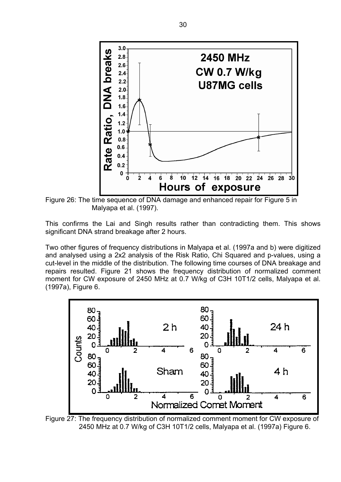

Figure 26: The time sequence of DNA damage and enhanced repair for Figure 5 in Malyapa et al. (1997).

This confirms the Lai and Singh results rather than contradicting them. This shows significant DNA strand breakage after 2 hours.

Two other figures of frequency distributions in Malyapa et al. (1997a and b) were digitized and analysed using a 2x2 analysis of the Risk Ratio, Chi Squared and p-values, using a cut-level in the middle of the distribution. The following time courses of DNA breakage and repairs resulted. Figure 21 shows the frequency distribution of normalized comment moment for CW exposure of 2450 MHz at 0.7 W/kg of C3H 10T1/2 cells, Malyapa et al. (1997a), Figure 6.



Figure 27: The frequency distribution of normalized comment moment for CW exposure of 2450 MHz at 0.7 W/kg of C3H 10T1/2 cells, Malyapa et al. (1997a) Figure 6.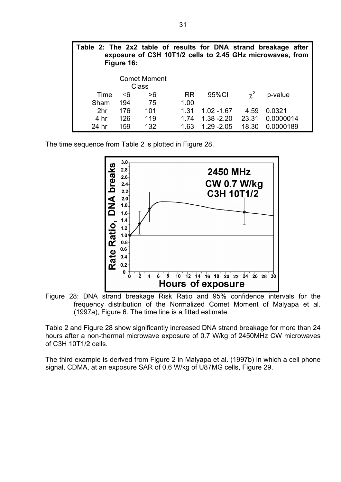|                 | Figure 16: |                                     |           |               |            | Table 2: The 2x2 table of results for DNA strand breakage after<br>exposure of C3H 10T1/2 cells to 2.45 GHz microwaves, from |  |
|-----------------|------------|-------------------------------------|-----------|---------------|------------|------------------------------------------------------------------------------------------------------------------------------|--|
|                 |            | <b>Comet Moment</b><br><b>Class</b> |           |               |            |                                                                                                                              |  |
| Time            | ≤6         | >6                                  | <b>RR</b> | 95%CI         | $\gamma^2$ | p-value                                                                                                                      |  |
| Sham            | 194        | 75                                  | 1.00      |               |            |                                                                                                                              |  |
| 2 <sub>hr</sub> | 176        | 101                                 | 1.31      | $1.02 - 1.67$ | 4.59       | 0.0321                                                                                                                       |  |
| 4 hr            | 126        | 119                                 | 1.74      | $1.38 - 2.20$ | 23.31      | 0.0000014                                                                                                                    |  |
| 24 hr           | 159        | 132                                 | 1.63      | $1.29 - 2.05$ | 18.30      | 0.0000189                                                                                                                    |  |

The time sequence from Table 2 is plotted in Figure 28.



Figure 28: DNA strand breakage Risk Ratio and 95% confidence intervals for the frequency distribution of the Normalized Comet Moment of Malyapa et al. (1997a), Figure 6. The time line is a fitted estimate.

Table 2 and Figure 28 show significantly increased DNA strand breakage for more than 24 hours after a non-thermal microwave exposure of 0.7 W/kg of 2450MHz CW microwaves of C3H 10T1/2 cells.

The third example is derived from Figure 2 in Malyapa et al. (1997b) in which a cell phone signal, CDMA, at an exposure SAR of 0.6 W/kg of U87MG cells, Figure 29.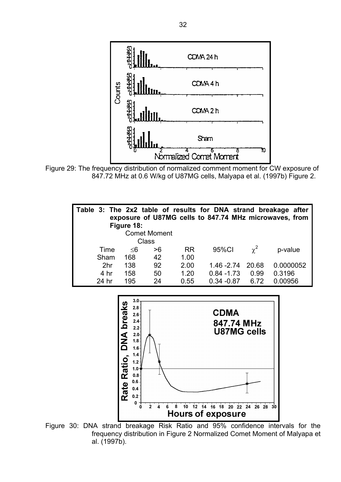

Figure 29: The frequency distribution of normalized comment moment for CW exposure of 847.72 MHz at 0.6 W/kg of U87MG cells, Malyapa et al. (1997b) Figure 2.

| Table 3: The 2x2 table of results for DNA strand breakage after | Figure 18: |    |           |               |            | exposure of U87MG cells to 847.74 MHz microwaves, from |  |  |  |  |
|-----------------------------------------------------------------|------------|----|-----------|---------------|------------|--------------------------------------------------------|--|--|--|--|
| <b>Comet Moment</b>                                             |            |    |           |               |            |                                                        |  |  |  |  |
| Class                                                           |            |    |           |               |            |                                                        |  |  |  |  |
| Time                                                            | $\leq$ 6   | >6 | <b>RR</b> | 95%CI         | $\gamma^2$ | p-value                                                |  |  |  |  |
| Sham                                                            | 168        | 42 | 1.00      |               |            |                                                        |  |  |  |  |
| 2 <sub>hr</sub>                                                 | 138        | 92 | 2.00      | $1.46 - 2.74$ | 20.68      | 0.0000052                                              |  |  |  |  |
| 4 hr                                                            | 158        | 50 | 1.20      | $0.84 - 1.73$ | 0.99       | 0.3196                                                 |  |  |  |  |
| 24 hr                                                           | 195        | 24 | 0.55      | $0.34 - 0.87$ | 6.72       | 0.00956                                                |  |  |  |  |



Figure 30: DNA strand breakage Risk Ratio and 95% confidence intervals for the frequency distribution in Figure 2 Normalized Comet Moment of Malyapa et al. (1997b).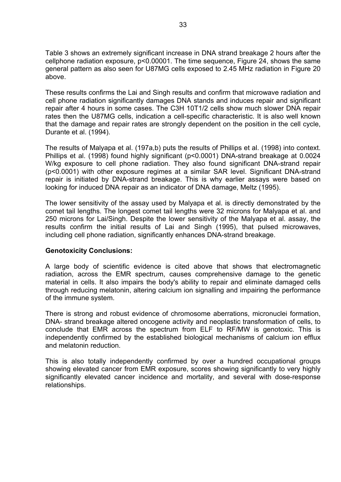Table 3 shows an extremely significant increase in DNA strand breakage 2 hours after the cellphone radiation exposure, p<0.00001. The time sequence, Figure 24, shows the same general pattern as also seen for U87MG cells exposed to 2.45 MHz radiation in Figure 20 above.

These results confirms the Lai and Singh results and confirm that microwave radiation and cell phone radiation significantly damages DNA stands and induces repair and significant repair after 4 hours in some cases. The C3H 10T1/2 cells show much slower DNA repair rates then the U87MG cells, indication a cell-specific characteristic. It is also well known that the damage and repair rates are strongly dependent on the position in the cell cycle, Durante et al. (1994).

The results of Malyapa et al. (197a,b) puts the results of Phillips et al. (1998) into context. Phillips et al. (1998) found highly significant (p<0.0001) DNA-strand breakage at 0.0024 W/kg exposure to cell phone radiation. They also found significant DNA-strand repair (p<0.0001) with other exposure regimes at a similar SAR level. Significant DNA-strand repair is initiated by DNA-strand breakage. This is why earlier assays were based on looking for induced DNA repair as an indicator of DNA damage, Meltz (1995).

The lower sensitivity of the assay used by Malyapa et al. is directly demonstrated by the comet tail lengths. The longest comet tail lengths were 32 microns for Malyapa et al. and 250 microns for Lai/Singh. Despite the lower sensitivity of the Malyapa et al. assay, the results confirm the initial results of Lai and Singh (1995), that pulsed microwaves, including cell phone radiation, significantly enhances DNA-strand breakage.

#### **Genotoxicity Conclusions:**

A large body of scientific evidence is cited above that shows that electromagnetic radiation, across the EMR spectrum, causes comprehensive damage to the genetic material in cells. It also impairs the body's ability to repair and eliminate damaged cells through reducing melatonin, altering calcium ion signalling and impairing the performance of the immune system.

There is strong and robust evidence of chromosome aberrations, micronuclei formation, DNA- strand breakage altered oncogene activity and neoplastic transformation of cells, to conclude that EMR across the spectrum from ELF to RF/MW is genotoxic. This is independently confirmed by the established biological mechanisms of calcium ion efflux and melatonin reduction.

This is also totally independently confirmed by over a hundred occupational groups showing elevated cancer from EMR exposure, scores showing significantly to very highly significantly elevated cancer incidence and mortality, and several with dose-response relationships.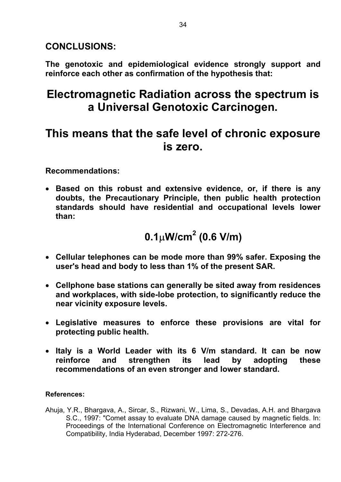**CONCLUSIONS:** 

**The genotoxic and epidemiological evidence strongly support and reinforce each other as confirmation of the hypothesis that:** 

## **Electromagnetic Radiation across the spectrum is a Universal Genotoxic Carcinogen.**

## **This means that the safe level of chronic exposure is zero.**

**Recommendations:** 

• **Based on this robust and extensive evidence, or, if there is any doubts, the Precautionary Principle, then public health protection standards should have residential and occupational levels lower than:** 

## **0.1**µ**W/cm<sup>2</sup> (0.6 V/m)**

- **Cellular telephones can be mode more than 99% safer. Exposing the user's head and body to less than 1% of the present SAR.**
- **Cellphone base stations can generally be sited away from residences and workplaces, with side-lobe protection, to significantly reduce the near vicinity exposure levels.**
- **Legislative measures to enforce these provisions are vital for protecting public health.**
- **Italy is a World Leader with its 6 V/m standard. It can be now reinforce and strengthen its lead by adopting these recommendations of an even stronger and lower standard.**

### **References:**

Ahuja, Y.R., Bhargava, A., Sircar, S., Rizwani, W., Lima, S., Devadas, A.H. and Bhargava S.C., 1997: "Comet assay to evaluate DNA damage caused by magnetic fields. In: Proceedings of the International Conference on Electromagnetic Interference and Compatibility, India Hyderabad, December 1997: 272-276.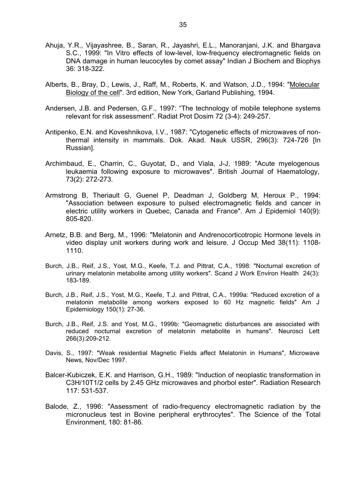- Ahuja, Y.R., Vijayashree, B., Saran, R., Jayashri, E.L., Manoranjani, J.K. and Bhargava S.C., 1999: "In Vitro effects of low-level, low-frequency electromagnetic fields on DNA damage in human leucocytes by comet assay" Indian J Biochem and Biophys 36: 318-322.
- Alberts, B., Bray, D., Lewis, J., Raff, M., Roberts, K. and Watson, J.D., 1994: "Molecular Biology of the cell". 3rd edition, New York, Garland Publishing, 1994.
- Andersen, J.B. and Pedersen, G.F., 1997: "The technology of mobile telephone systems relevant for risk assessment". Radiat Prot Dosim 72 (3-4): 249-257.
- Antipenko, E.N. and Koveshnikova, I.V., 1987: "Cytogenetic effects of microwaves of nonthermal intensity in mammals. Dok. Akad. Nauk USSR, 296(3): 724-726 [In Russian].
- Archimbaud, E., Charrin, C., Guyotat, D., and Viala, J-J, 1989: "Acute myelogenous leukaemia following exposure to microwaves". British Journal of Haematology, 73(2): 272-273.
- Armstrong B, Theriault G, Guenel P, Deadman J, Goldberg M, Heroux P., 1994: "Association between exposure to pulsed electromagnetic fields and cancer in electric utility workers in Quebec, Canada and France". Am J Epidemiol 140(9): 805-820.
- Arnetz, B.B. and Berg, M., 1996: "Melatonin and Andrenocorticotropic Hormone levels in video display unit workers during work and leisure. J Occup Med 38(11): 1108- 1110.
- Burch, J.B., Reif, J.S., Yost, M.G., Keefe, T.J. and Pittrat, C.A., 1998: "Nocturnal excretion of urinary melatonin metabolite among utility workers". Scand J Work Environ Health 24(3): 183-189.
- Burch, J.B., Reif, J.S., Yost, M.G., Keefe, T.J. and Pittrat, C.A., 1999a: "Reduced excretion of a melatonin metabolite among workers exposed to 60 Hz magnetic fields" Am J Epidemiology 150(1): 27-36.
- Burch, J.B., Reif, J.S. and Yost, M.G., 1999b: "Geomagnetic disturbances are associated with reduced nocturnal excretion of melatonin metabolite in humans". Neurosci Lett 266(3):209-212.
- Davis, S., 1997: "Weak residential Magnetic Fields affect Melatonin in Humans", Microwave News, Nov/Dec 1997.
- Balcer-Kubiczek, E.K. and Harrison, G.H., 1989: "Induction of neoplastic transformation in C3H/10T1/2 cells by 2.45 GHz microwaves and phorbol ester". Radiation Research 117: 531-537.
- Balode, Z., 1996: "Assessment of radio-frequency electromagnetic radiation by the micronucleus test in Bovine peripheral erythrocytes". The Science of the Total Environment, 180: 81-86.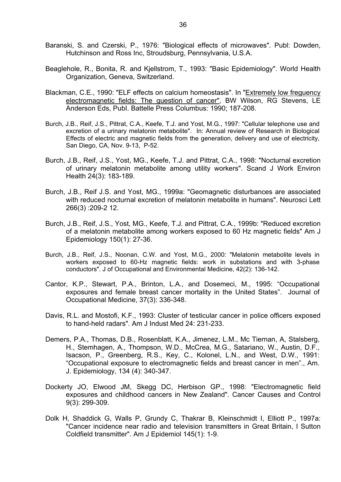- Baranski, S. and Czerski, P., 1976: "Biological effects of microwaves". Publ: Dowden, Hutchinson and Ross Inc, Stroudsburg, Pennsylvania, U.S.A.
- Beaglehole, R., Bonita, R. and Kjellstrom, T., 1993: "Basic Epidemiology". World Health Organization, Geneva, Switzerland.
- Blackman, C.E., 1990: "ELF effects on calcium homeostasis". In "Extremely low freguency electromagnetic fields: The guestion of cancer", BW Wilson, RG Stevens, LE Anderson Eds, PubI. Battelle Press Columbus: 1990; 187-208.
- Burch, J.B., Reif, J.S., Pittrat, C.A., Keefe, T.J. and Yost, M.G., 1997: "Cellular telephone use and excretion of a urinary melatonin metabolite". In: Annual review of Research in Biological Effects of electric and magnetic fields from the generation, delivery and use of electricity, San Diego, CA, Nov. 9-13, P-52.
- Burch, J.B., Reif, J.S., Yost, MG., Keefe, T.J. and Pittrat, C.A., 1998: "Nocturnal excretion of urinary melatonin metabolite among utility workers". Scand J Work Environ Health 24(3): 183-189.
- Burch, J.B., Reif J.S. and Yost, MG., 1999a: "Geomagnetic disturbances are associated with reduced nocturnal excretion of melatonin metabolite in humans". Neurosci Lett 266(3) :209-2 12.
- Burch, J.B., Reif, J.S., Yost, MG., Keefe, T.J. and Pittrat, C.A., 1999b: "Reduced excretion of a melatonin metabolite among workers exposed to 60 Hz magnetic fields" Am J Epidemiology 150(1): 27-36.
- Burch, J.B., Reif, J.S., Noonan, C.W. and Yost, M.G., 2000: "Melatonin metabolite levels in workers exposed to 60-Hz magnetic fields: work in substations and with 3-phase conductors". J of Occupational and Environmental Medicine, 42(2): 136-142.
- Cantor, K.P., Stewart, P.A., Brinton, L.A., and Dosemeci, M., 1995: "Occupational exposures and female breast cancer mortality in the United States". Journal of Occupational Medicine, 37(3): 336-348.
- Davis, R.L. and Mostofi, K.F., 1993: Cluster of testicular cancer in police officers exposed to hand-held radars". Am J Indust Med 24: 231-233.
- Demers, P.A., Thomas, D.B., Rosenblatt, K.A., Jimenez, L.M., Mc Tiernan, A, Stalsberg, H., Stemhagen, A., Thompson, W.D., McCrea, M.G., Satariano, W., Austin, D.F., Isacson, P., Greenberg, R.S., Key, C., Kolonel, L.N., and West, D.W., 1991: "Occupational exposure to electromagnetic fields and breast cancer in men"., Am. J. Epidemiology, 134 (4): 340-347.
- Dockerty JO, Elwood JM, Skegg DC, Herbison GP., 1998: "Electromagnetic field exposures and childhood cancers in New Zealand". Cancer Causes and Control 9(3): 299-309.
- Dolk H, Shaddick G, Walls P, Grundy C, Thakrar B, Kleinschmidt I, Elliott P., 1997a: "Cancer incidence near radio and television transmitters in Great Britain, I Sutton Coldfield transmitter". Am J Epidemiol 145(1): 1-9.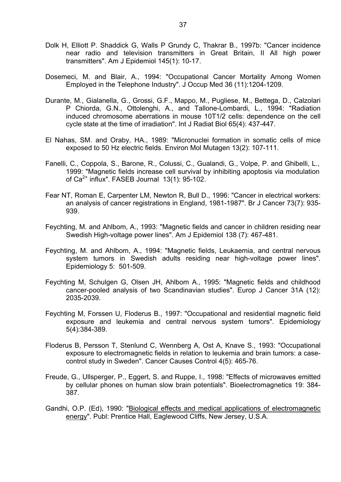- Dolk H, Elliott P. Shaddick G, Walls P Grundy C, Thakrar B., 1997b: "Cancer incidence near radio and television transmitters in Great Britain, II All high power transmitters". Am J Epidemiol 145(1): 10-17.
- Dosemeci, M. and Blair, A., 1994: "Occupational Cancer Mortality Among Women Employed in the Telephone Industry". J Occup Med 36 (11):1204-1209.
- Durante, M., Gialanella, G., Grossi, G.F., Mappo, M., Pugliese, M., Bettega, D., Calzolari P Chiorda, G.N., Ottolenghi, A., and Tallone-Lombardi, L., 1994: "Radiation induced chromosome aberrations in mouse 10T1/2 cells: dependence on the cell cycle state at the time of irradiation". Int J Radiat Biol 65(4): 437-447.
- El Nahas, SM. and Oraby, HA., 1989: "Micronuclei formation in somatic cells of mice exposed to 50 Hz electric fields. Environ Mol Mutagen 13(2): 107-111.
- Fanelli, C., Coppola, S., Barone, R., Colussi, C., Gualandi, G., Volpe, P. and Ghibelli, L., 1999: "Magnetic fields increase cell survival by inhibiting apoptosis via modulation of  $Ca^{2+}$  influx". FASEB Journal  $13(1)$ : 95-102.
- Fear NT, Roman E, Carpenter LM, Newton R, Bull D., 1996: "Cancer in electrical workers: an analysis of cancer registrations in England, 1981-1987". Br J Cancer 73(7): 935- 939.
- Feychting, M. and Ahlbom, A., 1993: "Magnetic fields and cancer in children residing near Swedish High-voltage power lines". Am J Epidemiol 138 (7): 467-481.
- Feychting, M. and Ahlbom, A., 1994: "Magnetic fields, Leukaemia, and central nervous system tumors in Swedish adults residing near high-voltage power lines". Epidemiology 5: 501-509.
- Feychting M, Schulgen G, Olsen JH, Ahlbom A., 1995: "Magnetic fields and childhood cancer-pooled analysis of two Scandinavian studies". Europ J Cancer 31A (12): 2035-2039.
- Feychting M, Forssen U, Floderus B., 1997: "Occupational and residential magnetic field exposure and leukemia and central nervous system tumors". Epidemiology 5(4):384-389.
- Floderus B, Persson T, Stenlund C, Wennberg A, Ost A, Knave S., 1993: "Occupational exposure to electromagnetic fields in relation to leukemia and brain tumors: a casecontrol study in Sweden". Cancer Causes Control 4(5): 465-76.
- Freude, G., Ullsperger, P., Eggert, S. and Ruppe, I., 1998: "Effects of microwaves emitted by cellular phones on human slow brain potentials". Bioelectromagnetics 19: 384- 387.
- Gandhi, O.P. (Ed), 1990: "Biological effects and medical applications of electromagnetic energy". Publ: Prentice Hall, Eaglewood Cliffs, New Jersey, U.S.A.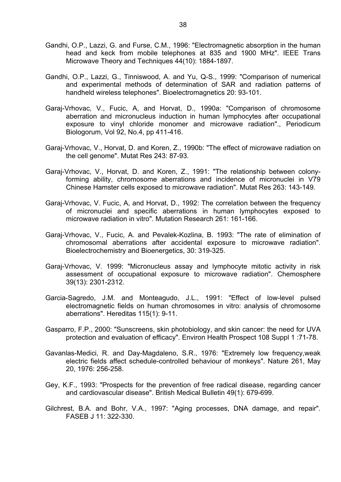- Gandhi, O.P., Lazzi, G. and Furse, C.M., 1996: "Electromagnetic absorption in the human head and keck from mobile telephones at 835 and 1900 MHz". IEEE Trans Microwave Theory and Techniques 44(10): 1884-1897.
- Gandhi, O.P., Lazzi, G., Tinniswood, A. and Yu, Q-S., 1999: "Comparison of numerical and experimental methods of determination of SAR and radiation patterns of handheld wireless telephones". Bioelectromagnetics 20: 93-101.
- Garaj-Vrhovac, V., Fucic, A, and Horvat, D., 1990a: "Comparison of chromosome aberration and micronucleus induction in human lymphocytes after occupational exposure to vinyl chloride monomer and microwave radiation"., Periodicum Biologorum, Vol 92, No.4, pp 411-416.
- Garaj-Vrhovac, V., Horvat, D. and Koren, Z., 1990b: "The effect of microwave radiation on the cell genome". Mutat Res 243: 87-93.
- Garaj-Vrhovac, V., Horvat, D. and Koren, Z., 1991: "The relationship between colonyforming ability, chromosome aberrations and incidence of micronuclei in V79 Chinese Hamster cells exposed to microwave radiation". Mutat Res 263: 143-149.
- Garaj-Vrhovac, V. Fucic, A, and Horvat, D., 1992: The correlation between the frequency of micronuclei and specific aberrations in human lymphocytes exposed to microwave radiation in vitro". Mutation Research 261: 161-166.
- Garaj-Vrhovac, V., Fucic, A. and Pevalek-Kozlina, B. 1993: "The rate of elimination of chromosomal aberrations after accidental exposure to microwave radiation". Bioelectrochemistry and Bioenergetics, 30: 319-325.
- Garaj-Vrhovac, V. 1999: "Micronucleus assay and lymphocyte mitotic activity in risk assessment of occupational exposure to microwave radiation". Chemosphere 39(13): 2301-2312.
- Garcia-Sagredo, J.M. and Monteagudo, J.L., 1991: "Effect of low-level pulsed electromagnetic fields on human chromosomes in vitro: analysis of chromosome aberrations". Hereditas 115(1): 9-11.
- Gasparro, F.P., 2000: "Sunscreens, skin photobiology, and skin cancer: the need for UVA protection and evaluation of efficacy". Environ Health Prospect 108 Suppl 1 :71-78.
- Gavanlas-Medici, R. and Day-Magdaleno, S.R., 1976: "Extremely low frequency,weak electric fields affect schedule-controlled behaviour of monkeys". Nature 261, May 20, 1976: 256-258.
- Gey, K.F., 1993: "Prospects for the prevention of free radical disease, regarding cancer and cardiovascular disease". British Medical Bulletin 49(1): 679-699.
- Gilchrest, B.A. and Bohr, V.A., 1997: "Aging processes, DNA damage, and repair". FASEB J 11: 322-330.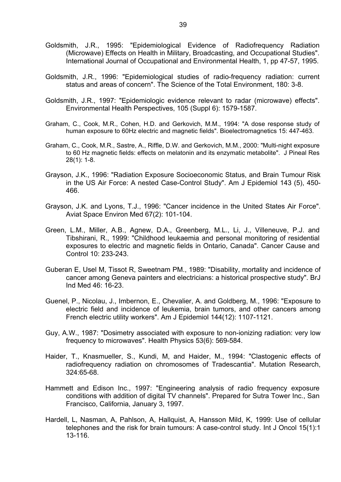- Goldsmith, J.R., 1995: "Epidemiological Evidence of Radiofrequency Radiation (Microwave) Effects on Health in Military, Broadcasting, and Occupational Studies". International Journal of Occupational and Environmental Health, 1, pp 47-57, 1995.
- Goldsmith, J.R., 1996: "Epidemiological studies of radio-frequency radiation: current status and areas of concern". The Science of the Total Environment, 180: 3-8.
- Goldsmith, J.R., 1997: "Epidemiologic evidence relevant to radar (microwave) effects". Environmental Health Perspectives, 105 (Suppl 6): 1579-1587.
- Graham, C., Cook, M.R., Cohen, H.D. and Gerkovich, M.M., 1994: "A dose response study of human exposure to 60Hz electric and magnetic fields". Bioelectromagnetics 15: 447-463.
- Graham, C., Cook, M.R., Sastre, A., Riffle, D.W. and Gerkovich, M.M., 2000: "Multi-night exposure to 60 Hz magnetic fields: effects on melatonin and its enzymatic metabolite". J Pineal Res 28(1): 1-8.
- Grayson, J.K., 1996: "Radiation Exposure Socioeconomic Status, and Brain Tumour Risk in the US Air Force: A nested Case-Control Study". Am J Epidemiol 143 (5), 450- 466.
- Grayson, J.K. and Lyons, T.J., 1996: "Cancer incidence in the United States Air Force". Aviat Space Environ Med 67(2): 101-104.
- Green, L.M., Miller, A.B., Agnew, D.A., Greenberg, M.L., Li, J., Villeneuve, P.J. and Tibshirani, R., 1999: "Childhood leukaemia and personal monitoring of residential exposures to electric and magnetic fields in Ontario, Canada". Cancer Cause and Control 10: 233-243.
- Guberan E, Usel M, Tissot R, Sweetnam PM., 1989: "Disability, mortality and incidence of cancer among Geneva painters and electricians: a historical prospective study". BrJ Ind Med 46: 16-23.
- Guenel, P., Nicolau, J., Imbernon, E., Chevalier, A. and Goldberg, M., 1996: "Exposure to electric field and incidence of leukemia, brain tumors, and other cancers among French electric utility workers". Am J Epidemiol 144(12): 1107-1121.
- Guy, A.W., 1987: "Dosimetry associated with exposure to non-ionizing radiation: very low frequency to microwaves". Health Physics 53(6): 569-584.
- Haider, T., Knasmueller, S., Kundi, M, and Haider, M., 1994: "Clastogenic effects of radiofrequency radiation on chromosomes of Tradescantia". Mutation Research, 324:65-68.
- Hammett and Edison Inc., 1997: "Engineering analysis of radio frequency exposure conditions with addition of digital TV channels". Prepared for Sutra Tower Inc., San Francisco, California, January 3, 1997.
- Hardell, L, Nasman, A, Pahlson, A, Hallquist, A, Hansson Mild, K, 1999: Use of cellular telephones and the risk for brain tumours: A case-control study. Int J Oncol 15(1):1 13-116.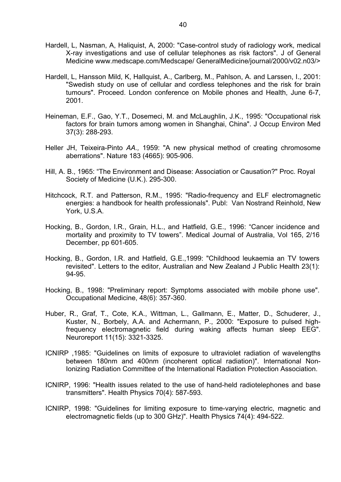- Hardell, L, Nasman, A, Haliquist, A, 2000: "Case-control study of radiology work, medical X-ray investigations and use of cellular telephones as risk factors". J of General Medicine www.medscape.com/Medscape/ GeneralMedicine/journal/2000/v02.n03/>
- Hardell, L, Hansson Mild, K, Hallquist, A., Carlberg, M., Pahlson, A. and Larssen, I., 2001: "Swedish study on use of cellular and cordless telephones and the risk for brain tumours". Proceed. London conference on Mobile phones and Health, June 6-7, 2001.
- Heineman, E.F., Gao, Y.T., Dosemeci, M. and McLaughlin, J.K., 1995: "Occupational risk factors for brain tumors among women in Shanghai, China". J Occup Environ Med 37(3): 288-293.
- Heller JH, Teixeira-Pinto *AA.,* 1959: "A new physical method of creating chromosome aberrations". Nature 183 (4665): 905-906.
- Hill, A. B., 1965: "The Environment and Disease: Association or Causation?" Proc. Royal Society of Medicine (U.K.). 295-300.
- Hitchcock, R.T. and Patterson, R.M., 1995: "Radio-frequency and ELF electromagnetic energies: a handbook for health professionals". Publ: Van Nostrand Reinhold, New York, U.S.A.
- Hocking, B., Gordon, I.R., Grain, H.L., and Hatfield, G.E., 1996: "Cancer incidence and mortality and proximity to TV towers". Medical Journal of Australia, Vol 165, 2/16 December, pp 601-605.
- Hocking, B., Gordon, I.R. and Hatfield, G.E.,1999: "Childhood leukaemia an TV towers revisited". Letters to the editor, Australian and New Zealand J Public Health 23(1): 94-95.
- Hocking, B., 1998: "Preliminary report: Symptoms associated with mobile phone use". Occupational Medicine, 48(6): 357-360.
- Huber, R., Graf, T., Cote, K.A., Wittman, L., Gallmann, E., Matter, D., Schuderer, J., Kuster, N., Borbely, A.A. and Achermann, P., 2000: "Exposure to pulsed highfrequency electromagnetic field during waking affects human sleep EEG". Neuroreport 11(15): 3321-3325.
- ICNIRP ,1985: "Guidelines on limits of exposure to ultraviolet radiation of wavelengths between 180nm and 400nm (incoherent optical radiation)". International Non-Ionizing Radiation Committee of the International Radiation Protection Association.
- ICNIRP, 1996: "Health issues related to the use of hand-held radiotelephones and base transmitters". Health Physics 70(4): 587-593.
- ICNIRP, 1998: "Guidelines for limiting exposure to time-varying electric, magnetic and electromagnetic fields (up to 300 GHz)". Health Physics 74(4): 494-522.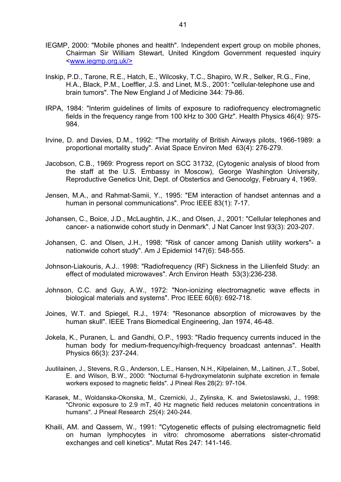- IEGMP, 2000: "Mobile phones and health". Independent expert group on mobile phones, Chairman Sir William Stewart, United Kingdom Government requested inquiry <www.iegmp.org.uk/>
- Inskip, P.D., Tarone, R.E., Hatch, E., Wilcosky, T.C., Shapiro, W.R., Selker, R.G., Fine, H.A., Black, P.M., Loeffler, J.S. and Linet, M.S., 2001: "cellular-telephone use and brain tumors". The New England J of Medicine 344: 79-86.
- IRPA, 1984: "Interim guidelines of limits of exposure to radiofrequency electromagnetic fields in the frequency range from 100 kHz to 300 GHz". Health Physics 46(4): 975- 984.
- Irvine, D. and Davies, D.M., 1992: "The mortality of British Airways pilots, 1966-1989: a proportional mortality study". Aviat Space Environ Med 63(4): 276-279.
- Jacobson, C.B., 1969: Progress report on SCC 31732, (Cytogenic analysis of blood from the staff at the U.S. Embassy in Moscow), George Washington University, Reproductive Genetics Unit, Dept. of Obstertics and Genocolgy, February 4, 1969.
- Jensen, M.A., and Rahmat-Samii, Y., 1995: "EM interaction of handset antennas and a human in personal communications". Proc IEEE 83(1): 7-17.
- Johansen, C., Boice, J.D., McLaughtin, J.K., and Olsen, J., 2001: "Cellular telephones and cancer- a nationwide cohort study in Denmark". J Nat Cancer Inst 93(3): 203-207.
- Johansen, C. and Olsen, J.H., 1998: "Risk of cancer among Danish utility workers"- a nationwide cohort study". Am J Epidemiol 147(6): 548-555.
- Johnson-Liakouris, A.J.. 1998: "Radiofrequency (RF) Sickness in the Lilienfeld Study: an effect of modulated microwaves". Arch Environ Heath 53(3):236-238.
- Johnson, C.C. and Guy, A.W., 1972: "Non-ionizing electromagnetic wave effects in biological materials and systems". Proc IEEE 60(6): 692-718.
- Joines, W.T. and Spiegel, R.J., 1974: "Resonance absorption of microwaves by the human skull". IEEE Trans Biomedical Engineering, Jan 1974, 46-48.
- Jokela, K., Puranen, L. and Gandhi, O.P., 1993: "Radio frequency currents induced in the human body for medium-frequency/high-frequency broadcast antennas". Health Physics 66(3): 237-244.
- Juutilainen, J., Stevens, R.G., Anderson, L.E., Hansen, N.H., Kilpelainen, M., Laitinen, J.T., Sobel, E. and Wilson, B.W., 2000: "Nocturnal 6-hydroxymelatonin sulphate excretion in female workers exposed to magnetic fields". J Pineal Res 28(2): 97-104.
- Karasek, M., Woldanska-Okonska, M., Czernicki, J., Zylinska, K. and Swietoslawski, J., 1998: "Chronic exposure to 2.9 mT, 40 Hz magnetic field reduces melatonin concentrations in humans". J Pineal Research 25(4): 240-244.
- Khaili, AM. and Qassem, W., 1991: "Cytogenetic effects of pulsing electromagnetic field on human lymphocytes in vitro: chromosome aberrations sister-chromatid exchanges and cell kinetics". Mutat Res 247: 141-146.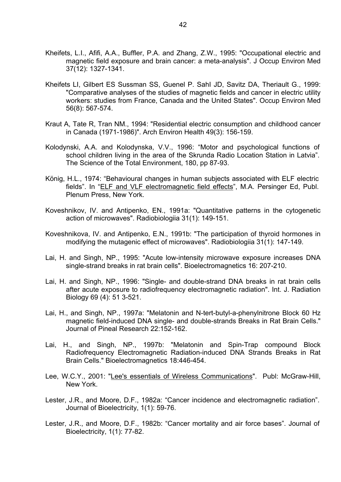- Kheifets, L.I., Afifi, A.A., Buffler, P.A. and Zhang, Z.W., 1995: "Occupational electric and magnetic field exposure and brain cancer: a meta-analysis". J Occup Environ Med 37(12): 1327-1341.
- Kheifets LI, Gilbert ES Sussman SS, Guenel P. SahI JD, Savitz DA, Theriault G., 1999: "Comparative analyses of the studies of magnetic fields and cancer in electric utility workers: studies from France, Canada and the United States". Occup Environ Med 56(8): 567-574.
- Kraut A, Tate R, Tran NM., 1994: "Residential electric consumption and childhood cancer in Canada (1971-1986)". Arch Environ Health 49(3): 156-159.
- Kolodynski, A.A. and Kolodynska, V.V., 1996: "Motor and psychological functions of school children living in the area of the Skrunda Radio Location Station in Latvia". The Science of the Total Environment, 180, pp 87-93.
- König, H.L., 1974: "Behavioural changes in human subjects associated with ELF electric fields". In "ELF and VLF electromagnetic field effects", M.A. Persinger Ed, Publ. Plenum Press, New York.
- Koveshnikov, IV. and Antipenko, EN., 1991a: "Quantitative patterns in the cytogenetic action of microwaves". Radiobiologiia 31(1): 149-151.
- Koveshnikova, IV. and Antipenko, E.N., 1991b: "The participation of thyroid hormones in modifying the mutagenic effect of microwaves". Radiobiologiia 31(1): 147-149.
- Lai, H. and Singh, NP., 1995: "Acute low-intensity microwave exposure increases DNA single-strand breaks in rat brain cells". Bioelectromagnetics 16: 207-210.
- Lai, H. and Singh, NP., 1996: "Single- and double-strand DNA breaks in rat brain cells after acute exposure to radiofrequency electromagnetic radiation". Int. J. Radiation Biology 69 (4): 51 3-521.
- Lai, H., and Singh, NP., 1997a: "Melatonin and N-tert-butyl-a-phenylnitrone Block 60 Hz magnetic field-induced DNA single- and double-strands Breaks in Rat Brain Cells." Journal of Pineal Research 22:152-162.
- Lai, H., and Singh, NP., 1997b: "Melatonin and Spin-Trap compound Block Radiofrequency Electromagnetic Radiation-induced DNA Strands Breaks in Rat Brain Cells." Bioelectromagnetics 18:446-454.
- Lee, W.C.Y., 2001: "Lee's essentials of Wireless Communications". Publ: McGraw-Hill, New York.
- Lester, J.R., and Moore, D.F., 1982a: "Cancer incidence and electromagnetic radiation". Journal of Bioelectricity, 1(1): 59-76.
- Lester, J.R., and Moore, D.F., 1982b: "Cancer mortality and air force bases". Journal of Bioelectricity, 1(1): 77-82.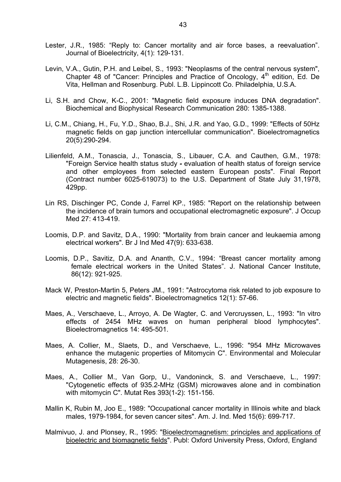- Lester, J.R., 1985: "Reply to: Cancer mortality and air force bases, a reevaluation". Journal of Bioelectricity, 4(1): 129-131.
- Levin, V.A., Gutin, P.H. and Leibel, S., 1993: "Neoplasms of the central nervous system", Chapter 48 of "Cancer: Principles and Practice of Oncology,  $4<sup>th</sup>$  edition, Ed. De Vita, Hellman and Rosenburg. Publ. L.B. Lippincott Co. Philadelphia, U.S.A.
- Li, S.H. and Chow, K-C., 2001: "Magnetic field exposure induces DNA degradation". Biochemical and Biophysical Research Communication 280: 1385-1388.
- Li, C.M., Chiang, H., Fu, Y.D., Shao, B.J., Shi, J.R. and Yao, G.D., 1999: "Effects of 50Hz magnetic fields on gap junction intercellular communication". Bioelectromagnetics 20(5):290-294.
- Lilienfeld, A.M., Tonascia, J., Tonascia, S., Libauer, C.A. and Cauthen, G.M., 1978: "Foreign Service health status study *-* evaluation of health status of foreign service and other employees from selected eastern European posts". Final Report (Contract number 6025-619073) to the U.S. Department of State July 31,1978, 429pp.
- Lin RS, Dischinger PC, Conde J, Farrel KP., 1985: "Report on the relationship between the incidence of brain tumors and occupational electromagnetic exposure". J Occup Med 27: 413-419.
- Loomis, D.P. and Savitz, D.A., 1990: "Mortality from brain cancer and leukaemia among electrical workers". Br J Ind Med 47(9): 633-638.
- Loomis, D.P., Savitiz, D.A. and Ananth, C.V., 1994: "Breast cancer mortality among female electrical workers in the United States". J. National Cancer Institute, 86(12): 921-925.
- Mack W, Preston-Martin 5, Peters JM., 1991: "Astrocytoma risk related to job exposure to electric and magnetic fields". Bioelectromagnetics 12(1): 57-66.
- Maes, A., Verschaeve, L., Arroyo, A. De Wagter, C. and Vercruyssen, L., 1993: "In vitro effects of 2454 MHz waves on human peripheral blood lymphocytes". Bioelectromagnetics 14: 495-501.
- Maes, A. Collier, M., Slaets, D., and Verschaeve, L., 1996: "954 MHz Microwaves enhance the mutagenic properties of Mitomycin C". Environmental and Molecular Mutagenesis, 28: 26-30.
- Maes, A., Collier M., Van Gorp, U., Vandoninck, S. and Verschaeve, L., 1997: "Cytogenetic effects of 935.2-MHz (GSM) microwaves alone and in combination with mitomycin C". Mutat Res 393(1-2): 151-156.
- Mallin K, Rubin M, Joo E., 1989: "Occupational cancer mortality in Illinois white and black males, 1979-1984, for seven cancer sites". Am. J. Ind. Med 15(6): 699-717.
- Malmivuo, J. and Plonsey, R., 1995: "Bioelectromagnetism: principles and applications of bioelectric and biomagnetic fields". Publ: Oxford University Press, Oxford, England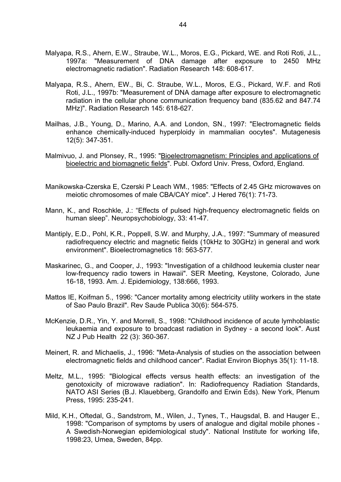- Malyapa, R.S., Ahern, E.W., Straube, W.L., Moros, E.G., Pickard, WE. and Roti Roti, J.L., 1997a: "Measurement of DNA damage after exposure to 2450 MHz electromagnetic radiation". Radiation Research 148: 608-617.
- Malyapa, R.S., Ahern, EW., Bi, C. Straube, W.L., Moros, E.G., Pickard, W.F. and Roti Roti, J.L., 1997b: "Measurement of DNA damage after exposure to electromagnetic radiation in the cellular phone communication frequency band (835.62 and 847.74 MHz)". Radiation Research 145: 618-627.
- Mailhas, J.B., Young, D., Marino, A.A. and London, SN., 1997: "Electromagnetic fields enhance chemically-induced hyperploidy in mammalian oocytes". Mutagenesis 12(5): 347-351.
- Malmivuo, J. and Plonsey, R., 1995: "Bioelectromagnetism: Principles and applications of bioelectric and biomagnetic fields". Publ. Oxford Univ. Press, Oxford, England.
- Manikowska-Czerska E, Czerski P Leach WM., 1985: "Effects of 2.45 GHz microwaves on meiotic chromosomes of male CBA/CAY mice". J Hered 76(1): 71-73.
- Mann, K., and Roschkle, J.: "Effects of pulsed high-frequency electromagnetic fields on human sleep". Neuropsychobiology, 33: 41-47.
- Mantiply, E.D., Pohl, K.R., Poppell, S.W. and Murphy, J.A., 1997: "Summary of measured radiofrequency electric and magnetic fields (10kHz to 30GHz) in general and work environment". Bioelectromagnetics 18: 563-577.
- Maskarinec, G., and Cooper, J., 1993: "Investigation of a childhood leukemia cluster near low-frequency radio towers in Hawaii". SER Meeting, Keystone, Colorado, June 16-18, 1993. Am. J. Epidemiology, 138:666, 1993.
- Mattos IE, Koifman 5., 1996: "Cancer mortality among electricity utility workers in the state of Sao Paulo Brazil". Rev Saude Publica 30(6): 564-575.
- McKenzie, D.R., Yin, Y. and Morrell, S., 1998: "Childhood incidence of acute lymhoblastic leukaemia and exposure to broadcast radiation in Sydney - a second look". Aust NZ J Pub Health 22 (3): 360-367.
- Meinert, R. and Michaelis, J., 1996: "Meta-Analysis of studies on the association between electromagnetic fields and childhood cancer". Radiat Environ Biophys 35(1): 11-18.
- Meltz, M.L., 1995: "Biological effects versus health effects: an investigation of the genotoxicity of microwave radiation". In: Radiofrequency Radiation Standards, NATO ASI Series (B.J. Klauebberg, Grandolfo and Erwin Eds). New York, Plenum Press, 1995: 235-241.
- Mild, K.H., Oftedal, G., Sandstrom, M., Wilen, J., Tynes, T., Haugsdal, B. and Hauger E., 1998: "Comparison of symptoms by users of analogue and digital mobile phones - A Swedish-Norwegian epidemiological study". National Institute for working life, 1998:23, Umea, Sweden, 84pp.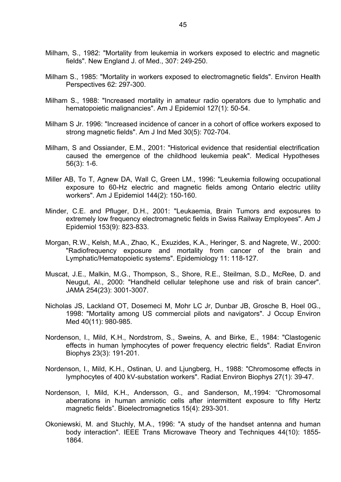- Milham, S., 1982: "Mortality from leukemia in workers exposed to electric and magnetic fields". New England J. of Med., 307: 249-250.
- Milham S., 1985: "Mortality in workers exposed to electromagnetic fields". Environ Health Perspectives 62: 297-300.
- Milham S., 1988: "Increased mortality in amateur radio operators due to lymphatic and hematopoietic malignancies". Am J Epidemiol 127(1): 50-54.
- Milham S Jr. 1996: "Increased incidence of cancer in a cohort of office workers exposed to strong magnetic fields". Am J Ind Med 30(5): 702-704.
- Milham, S and Ossiander, E.M., 2001: "Historical evidence that residential electrification caused the emergence of the childhood leukemia peak". Medical Hypotheses 56(3): 1-6.
- Miller AB, To T, Agnew DA, Wall C, Green LM., 1996: "Leukemia following occupational exposure to 60-Hz electric and magnetic fields among Ontario electric utility workers". Am J Epidemiol 144(2): 150-160.
- Minder, C.E. and Pfluger, D.H., 2001: "Leukaemia, Brain Tumors and exposures to extremely low frequency electromagnetic fields in Swiss Railway Employees". Am J Epidemiol 153(9): 823-833.
- Morgan, R.W., Kelsh, M.A., Zhao, K., Exuzides, K.A., Heringer, S. and Nagrete, W., 2000: "Radiofrequency exposure and mortality from cancer of the brain and Lymphatic/Hematopoietic systems". Epidemiology 11: 118-127.
- Muscat, J.E., Malkin, M.G., Thompson, S., Shore, R.E., Steilman, S.D., McRee, D. and Neugut, Al., 2000: "Handheld cellular telephone use and risk of brain cancer". JAMA 254(23): 3001-3007.
- Nicholas JS, Lackland OT, Dosemeci M, Mohr LC Jr, Dunbar JB, Grosche B, Hoel 0G., 1998: "Mortality among US commercial pilots and navigators". J Occup Environ Med 40(11): 980-985.
- Nordenson, I., Mild, K.H., Nordstrom, S., Sweins, A. and Birke, E., 1984: "Clastogenic effects in human lymphocytes of power frequency electric fields". Radiat Environ Biophys 23(3): 191-201.
- Nordenson, I., Mild, K.H., Ostinan, U. and Ljungberg, H., 1988: "Chromosome effects in lymphocytes of 400 kV-substation workers". Radiat Environ Biophys 27(1): 39-47.
- Nordenson, I, Mild, K.H., Andersson, G., and Sanderson, M,.1994: "Chromosomal aberrations in human amniotic cells after intermittent exposure to fifty Hertz magnetic fields". Bioelectromagnetics 15(4): 293-301.
- Okoniewski, M. and Stuchly, M.A., 1996: "A study of the handset antenna and human body interaction". IEEE Trans Microwave Theory and Techniques 44(10): 1855- 1864.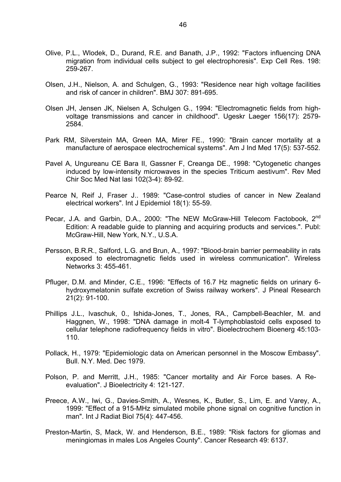- Olive, P.L., Wlodek, D., Durand, R.E. and Banath, J.P., 1992: "Factors influencing DNA migration from individual cells subject to gel electrophoresis". Exp Cell Res. 198: 259-267.
- Olsen, J.H., Nielson, A. and Schulgen, G., 1993: "Residence near high voltage facilities and risk of cancer in children". BMJ 307: 891-695.
- Olsen JH, Jensen JK, Nielsen A, Schulgen G., 1994: "Electromagnetic fields from highvoltage transmissions and cancer in childhood". Ugeskr Laeger 156(17): 2579- 2584.
- Park RM, Silverstein MA, Green MA, Mirer FE., 1990: "Brain cancer mortality at a manufacture of aerospace electrochemical systems". Am J Ind Med 17(5): 537-552.
- Pavel A, Ungureanu CE Bara II, Gassner F, Creanga DE., 1998: "Cytogenetic changes induced by low-intensity microwaves in the species Triticum aestivum". Rev Med Chir Soc Med Nat lasi 102(3-4): 89-92.
- Pearce N, Reif J, Fraser J.. 1989: "Case-control studies of cancer in New Zealand electrical workers". Int J Epidemiol 18(1): 55-59.
- Pecar, J.A. and Garbin, D.A., 2000: "The NEW McGraw-Hill Telecom Factobook, 2<sup>nd</sup> Edition: A readable guide to planning and acquiring products and services.". Publ: McGraw-Hill, New York, N.Y., U.S.A.
- Persson, B.R.R., Salford, L.G. and Brun, A., 1997: "Blood-brain barrier permeability in rats exposed to electromagnetic fields used in wireless communication". Wireless Networks 3: 455-461.
- Pfluger, D.M. and Minder, C.E., 1996: "Effects of 16.7 Hz magnetic fields on urinary 6 hydroxymelatonin sulfate excretion of Swiss railway workers". J Pineal Research 21(2): 91-100.
- Phillips J.L., lvaschuk, 0., Ishida-Jones, T., Jones, RA., Campbell-Beachler, M. and Haggnen, W., 1998: "DNA damage in molt-4 T-lymphoblastoid cells exposed to cellular telephone radiofrequency fields in vitro". Bioelectrochem Bioenerg 45:103- 110.
- Pollack, H., 1979: "Epidemiologic data on American personnel in the Moscow Embassy". Bull. N.Y. Med. Dec 1979.
- Polson, P. and Merritt, J.H., 1985: "Cancer mortality and Air Force bases. A Reevaluation". J Bioelectricity 4: 121-127.
- Preece, A.W., Iwi, G., Davies-Smith, A., Wesnes, K., Butler, S., Lim, E. and Varey, A., 1999: "Effect of a 915-MHz simulated mobile phone signal on cognitive function in man". Int J Radiat Biol 75(4): 447-456.
- Preston-Martin, S, Mack, W. and Henderson, B.E., 1989: "Risk factors for gliomas and meningiomas in males Los Angeles County". Cancer Research 49: 6137.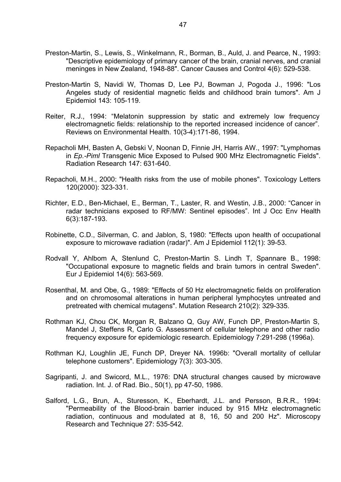- Preston-Martin, S., Lewis, S., Winkelmann, R., Borman, B., Auld, J. and Pearce, N., 1993: "Descriptive epidemiology of primary cancer of the brain, cranial nerves, and cranial meninges in New Zealand, 1948-88". Cancer Causes and Control 4(6): 529-538.
- Preston-Martin S, Navidi W, Thomas D, Lee PJ, Bowman J, Pogoda J., 1996: "Los Angeles study of residential magnetic fields and childhood brain tumors". Am J Epidemiol 143: 105-119.
- Reiter, R.J., 1994: "Melatonin suppression by static and extremely low frequency electromagnetic fields: relationship to the reported increased incidence of cancer". Reviews on Environmental Health. 10(3-4):171-86, 1994.
- Repacholi MH, Basten A, Gebski V, Noonan D, Finnie JH, Harris AW., 1997: "Lymphomas in *Ep.-Piml* Transgenic Mice Exposed to Pulsed 900 MHz Electromagnetic Fields". Radiation Research 147: 631-640.
- Repacholi, M.H., 2000: "Health risks from the use of mobile phones". Toxicology Letters 120(2000): 323-331.
- Richter, E.D., Ben-Michael, E., Berman, T., Laster, R. and Westin, J.B., 2000: "Cancer in radar technicians exposed to RF/MW: Sentinel episodes". Int J Occ Env Health 6(3):187-193.
- Robinette, C.D., Silverman, C. and Jablon, S, 1980: "Effects upon health of occupational exposure to microwave radiation (radar)". Am J Epidemiol 112(1): 39-53.
- Rodvall Y, Ahlbom A, Stenlund C, Preston-Martin S. Lindh T, Spannare B., 1998: "Occupational exposure to magnetic fields and brain tumors in central Sweden". Eur J Epidemiol 14(6): 563-569.
- Rosenthal, M. and Obe, G., 1989: "Effects of 50 Hz electromagnetic fields on proliferation and on chromosomal alterations in human peripheral lymphocytes untreated and pretreated with chemical mutagens". Mutation Research 210(2): 329-335.
- Rothman KJ, Chou CK, Morgan R, Balzano Q, Guy AW, Funch DP, Preston-Martin S, Mandel J, Steffens R, Carlo G. Assessment of cellular telephone and other radio frequency exposure for epidemiologic research. Epidemiology 7:291-298 (1996a).
- Rothman KJ, Loughlin JE, Funch DP, Dreyer NA. 1996b: "Overall mortality of cellular telephone customers". Epidemiology 7(3): 303-305.
- Sagripanti, J. and Swicord, M.L., 1976: DNA structural changes caused by microwave radiation. Int. J. of Rad. Bio., 50(1), pp 47-50, 1986.
- Salford, L.G., Brun, A., Sturesson, K., Eberhardt, J.L. and Persson, B.R.R., 1994: "Permeability of the Blood-brain barrier induced by 915 MHz electromagnetic radiation, continuous and modulated at 8, 16, 50 and 200 Hz". Microscopy Research and Technique 27: 535-542.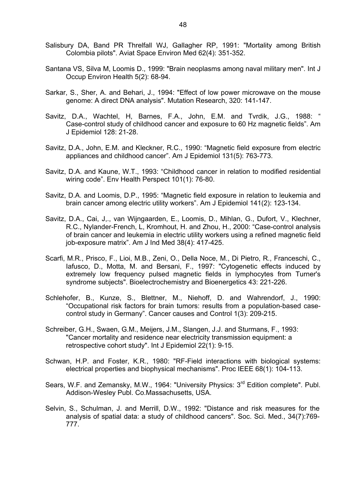- Salisbury DA, Band PR Threlfall WJ, Gallagher RP, 1991: "Mortality among British Colombia pilots". Aviat Space Environ Med 62(4): 351-352.
- Santana VS, Silva M, Loomis D., 1999: "Brain neoplasms among naval military men". Int J Occup Environ Health 5(2): 68-94.
- Sarkar, S., Sher, A. and Behari, J., 1994: "Effect of low power microwave on the mouse genome: A direct DNA analysis". Mutation Research, 320: 141-147.
- Savitz, D.A., Wachtel, H, Barnes, F.A., John, E.M. and Tvrdik, J.G., 1988: " Case-control study of childhood cancer and exposure to 60 Hz magnetic fields". Am J Epidemiol 128: 21-28.
- Savitz, D.A., John, E.M. and Kleckner, R.C., 1990: "Magnetic field exposure from electric appliances and childhood cancer". Am J Epidemiol 131(5): 763-773.
- Savitz, D.A. and Kaune, W.T., 1993: "Childhood cancer in relation to modified residential wiring code". Env Health Perspect 101(1): 76-80.
- Savitz, D.A. and Loomis, D.P., 1995: "Magnetic field exposure in relation to leukemia and brain cancer among electric utility workers". Am J Epidemiol 141(2): 123-134.
- Savitz, D.A., Cai, J,., van Wijngaarden, E., Loomis, D., Mihlan, G., Dufort, V., Klechner, R.C., Nylander-French, L, Kromhout, H. and Zhou, H., 2000: "Case-control analysis of brain cancer and leukemia in electric utility workers using a refined magnetic field job-exposure matrix". Am J Ind Med 38(4): 417-425.
- Scarfi, M.R., Prisco, F., Lioi, M.B., Zeni, O., Della Noce, M., Di Pietro, R., Franceschi, C., Iafusco, D., Motta, M. and Bersani, F., 1997: "Cytogenetic effects induced by extremely low frequency pulsed magnetic fields in lymphocytes from Turner's syndrome subjects". Bioelectrochemistry and Bioenergetics 43: 221-226.
- Schlehofer, B., Kunze, S., Blettner, M., Niehoff, D. and Wahrendorf, J., 1990: "Occupational risk factors for brain tumors: results from a population-based casecontrol study in Germany". Cancer causes and Control 1(3): 209-215.
- Schreiber, G.H., Swaen, G.M., Meijers, J.M., Slangen, J.J. and Sturmans, F., 1993: "Cancer mortality and residence near electricity transmission equipment: a retrospective cohort study". Int J Epidemiol 22(1): 9-15.
- Schwan, H.P. and Foster, K.R., 1980: "RF-Field interactions with biological systems: electrical properties and biophysical mechanisms". Proc IEEE 68(1): 104-113.
- Sears, W.F. and Zemansky, M.W., 1964: "University Physics: 3<sup>rd</sup> Edition complete". Publ. Addison-Wesley Publ. Co.Massachusetts, USA.
- Selvin, S., Schulman, J. and Merrill, D.W., 1992: "Distance and risk measures for the analysis of spatial data: a study of childhood cancers". Soc. Sci. Med., 34(7):769- 777.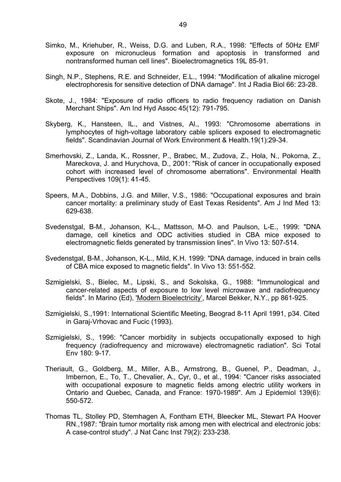- Simko, M., Kriehuber, R., Weiss, D.G. and Luben, R.A., 1998: "Effects of 50Hz EMF exposure on micronucleus formation and apoptosis in transformed and nontransformed human cell lines". Bioelectromagnetics 19L 85-91.
- Singh, N.P., Stephens, R.E. and Schneider, E.L., 1994: "Modification of alkaline microgel electrophoresis for sensitive detection of DNA damage". Int J Radia Biol 66: 23-28.
- Skote, J., 1984: "Exposure of radio officers to radio frequency radiation on Danish Merchant Ships". Am Ind Hyd Assoc 45(12): 791-795.
- Skyberg, K., Hansteen, IL., and Vistnes, Al., 1993: "Chromosome aberrations in lymphocytes of high-voltage laboratory cable splicers exposed to electromagnetic fields". Scandinavian Journal of Work Environment & Health.19(1):29-34.
- Smerhovski, Z., Landa, K., Rossner, P., Brabec, M., Zudova, Z., Hola, N., Pokorna, Z., Mareckova, J. and Hurychova, D., 2001: "Risk of cancer in occupationally exposed cohort with increased level of chromosome aberrations". Environmental Health Perspectives 109(1): 41-45.
- Speers, M.A., Dobbins, J.G. and Miller, V.S., 1986: "Occupational exposures and brain cancer mortality: a preliminary study of East Texas Residents". Am J Ind Med 13: 629-638.
- Svedenstgal, B-M., Johanson, K-L., Mattsson, M-O. and Paulson, L-E., 1999: "DNA damage, cell kinetics and ODC activities studied in CBA mice exposed to electromagnetic fields generated by transmission lines". In Vivo 13: 507-514.
- Svedenstgal, B-M., Johanson, K-L., Mild, K.H. 1999: "DNA damage, induced in brain cells of CBA mice exposed to magnetic fields". In Vivo 13: 551-552.
- Szmigielski, S., Bielec, M., Lipski, S., and Sokolska, G., 1988: "Immunological and cancer-related aspects of exposure to low level microwave and radiofrequency fields". In Marino (Ed), 'Modern Bioelectricity', Marcel Bekker, N.Y., pp 861-925.
- Szmigielski, S.,1991: International Scientific Meeting, Beograd 8-11 April 1991, p34. Cited in Garaj-Vrhovac and Fucic (1993).
- Szmigielski, S., 1996: "Cancer morbidity in subjects occupationally exposed to high frequency (radiofrequency and microwave) electromagnetic radiation". Sci Total Env 180: 9-17.
- Theriault, G., Goldberg, M., Miller, A.B., Armstrong, B., Guenel, P., Deadman, J., Imbernon, E., To, T., Chevalier, A., Cyr, 0., et al., 1994: "Cancer risks associated with occupational exposure to magnetic fields among electric utility workers in Ontario and Quebec, Canada, and France: 1970-1989". Am J Epidemiol 139(6): 550-572.
- Thomas TL, Stolley PD, Stemhagen A, Fontham ETH, Bleecker ML, Stewart PA Hoover RN.,1987: "Brain tumor mortality risk among men with electrical and electronic jobs: A case-control study". J Nat Canc Inst 79(2): 233-238.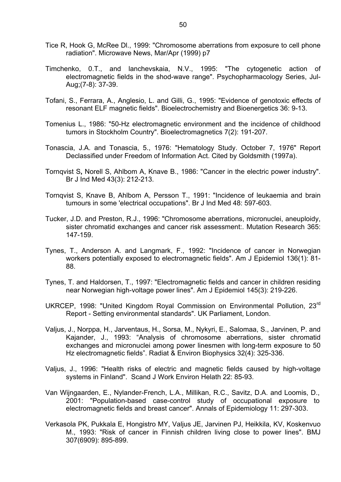- Tice R, Hook G, McRee Dl., 1999: "Chromosome aberrations from exposure to cell phone radiation". Microwave News, Mar/Apr (1999) p7
- Timchenko, 0.T., and lanchevskaia, N.V., 1995: "The cytogenetic action of electromagnetic fields in the shod-wave range". Psychopharmacology Series, Jul-Aug;(7-8): 37-39.
- Tofani, S., Ferrara, A., Anglesio, L. and Gilli, G., 1995: "Evidence of genotoxic effects of resonant ELF magnetic fields". Bioelectrochemistry and Bioenergetics 36: 9-13.
- Tomenius L., 1986: "50-Hz electromagnetic environment and the incidence of childhood tumors in Stockholm Country". Bioelectromagnetics 7(2): 191-207.
- Tonascia, J.A. and Tonascia, 5., 1976: "Hematology Study. October 7, 1976" Report Declassified under Freedom of Information Act. Cited by Goldsmith (1997a).
- Tornqvist S**,** Norell S, Ahlbom A, Knave B., 1986: "Cancer in the electric power industry". Br J Ind Med 43(3): 212-213.
- Tornqvist S, Knave B, Ahlbom A, Persson T., 1991: "Incidence of leukaemia and brain tumours in some 'electrical occupations". Br J Ind Med 48: 597-603.
- Tucker, J.D. and Preston, R.J., 1996: "Chromosome aberrations, micronuclei, aneuploidy, sister chromatid exchanges and cancer risk assessment:. Mutation Research 365: 147-159.
- Tynes, T., Anderson A. and Langmark, F., 1992: "Incidence of cancer in Norwegian workers potentially exposed to electromagnetic fields". Am J Epidemiol 136(1): 81- 88.
- Tynes, T. and Haldorsen, T., 1997: "Electromagnetic fields and cancer in children residing near Norwegian high-voltage power lines". Am J Epidemiol 145(3): 219-226.
- UKRCEP, 1998: "United Kingdom Royal Commission on Environmental Pollution, 23rd Report - Setting environmental standards". UK Parliament, London.
- Valjus, J., Norppa, H., Jarventaus, H., Sorsa, M., Nykyri, E., Salomaa, S., Jarvinen, P. and Kajander, J., 1993: "Analysis of chromosome aberrations, sister chromatid exchanges and micronuclei among power linesmen with long-term exposure to 50 Hz electromagnetic fields". Radiat & Environ Biophysics 32(4): 325-336.
- Valjus, J., 1996: "Health risks of electric and magnetic fields caused by high-voltage systems in Finland". Scand J Work Environ Helath 22: 85-93.
- Van Wijngaarden, E., Nylander-French, L.A., Millikan, R.C., Savitz, D.A. and Loomis, D., 2001: "Population-based case-control study of occupational exposure to electromagnetic fields and breast cancer". Annals of Epidemiology 11: 297-303.
- Verkasola PK, Pukkala E, Hongistro MY, Valjus JE, Jarvinen PJ, Heikkila, KV, Koskenvuo M., 1993: "Risk of cancer in Finnish children living close to power lines". BMJ 307(6909): 895-899.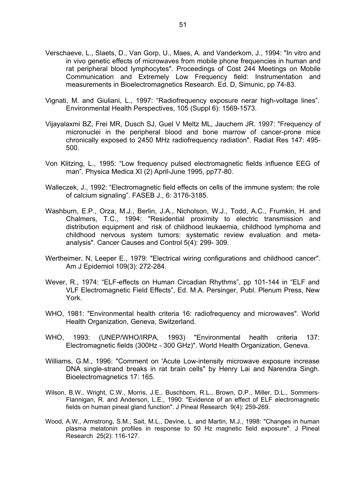- Verschaeve, L., Slaets, D., Van Gorp, U., Maes, A. and Vanderkom, J., 1994: "In vitro and in vivo genetic effects of microwaves from mobile phone frequencies in human and rat peripheral blood lymphocytes". Proceedings of Cost 244 Meetings on Mobile Communication and Extremely Low Frequency field: Instrumentation and measurements in Bioelectromagnetics Research. Ed. D, Simunic, pp 74-83.
- Vignati, M. and Giuliani, L., 1997: "Radiofrequency exposure nerar high-voltage lines". Environmental Health Perspectives, 105 (Suppl 6): 1569-1573.
- Vijayalaxmi BZ, Frei MR, Dusch SJ, Guel V Meltz ML, Jauchem JR. 1997: "Frequency of micronuclei in the peripheral blood and bone marrow of cancer-prone mice chronically exposed to 2450 MHz radiofrequency radiation". Radiat Res 147: 495- 500.
- Von Klitzing, L., 1995: "Low frequency pulsed electromagnetic fields influence EEG of man". Physica Medica XI (2) April-June 1995, pp77-80.
- Walleczek, J., 1992: "Electromagnetic field effects on cells of the immune system: the role of calcium signaling". FASEB J., 6: 3176-3185.
- Washburn, E.P., Orza, M.J., Berlin, J.A., Nicholson, W.J., Todd, A.C., Frumkin, H. and Chalmers, T.C., 1994: "Residential proximity to electric transmission and distribution equipment and risk of childhood leukaemia, childhood lymphoma and childhood nervous system tumors: systematic review evaluation and metaanalysis". Cancer Causes and Control 5(4): 299- 309.
- Wertheimer, N, Leeper E., 1979: "Electrical wiring configurations and childhood cancer". Am J Epidemiol 109(3): 272-284.
- Wever, R., 1974: "ELF-effects on Human Circadian Rhythms", pp 101-144 in "ELF and VLF Electromagnetic Field Effects", Ed. M.A. Persinger, Publ. Plenum Press, New York.
- WHO, 1981: "Environmental health criteria 16: radiofrequency and microwaves". World Health Organization, Geneva, Switzerland.
- WHO, 1993: (UNEP/WHO/IRPA, 1993) "Environmental health criteria 137: Electromagnetic fields (300Hz - 300 GHz)". World Health Organization, Geneva.
- Williams, G.M., 1996: "Comment on 'Acute Low-intensity microwave exposure increase DNA single-strand breaks in rat brain cells" by Henry Lai and Narendra Singh. Bioelectromagnetics 17: 165.
- Wilson, B.W., Wright, C.W., Morris, J.E., Buschbom, R.L., Brown, D.P., Miller, D.L., Sommers-Flannigan, R. and Anderson, L.E., 1990: "Evidence of an effect of ELF electromagnetic fields on human pineal gland function". J Pineal Research 9(4): 259-269.
- Wood, A.W., Armstrong, S.M., Sait, M.L., Devine, L. and Martin, M.J., 1998: "Changes in human plasma melatonin profiles in response to 50 Hz magnetic field exposure". J Pineal Research 25(2): 116-127.